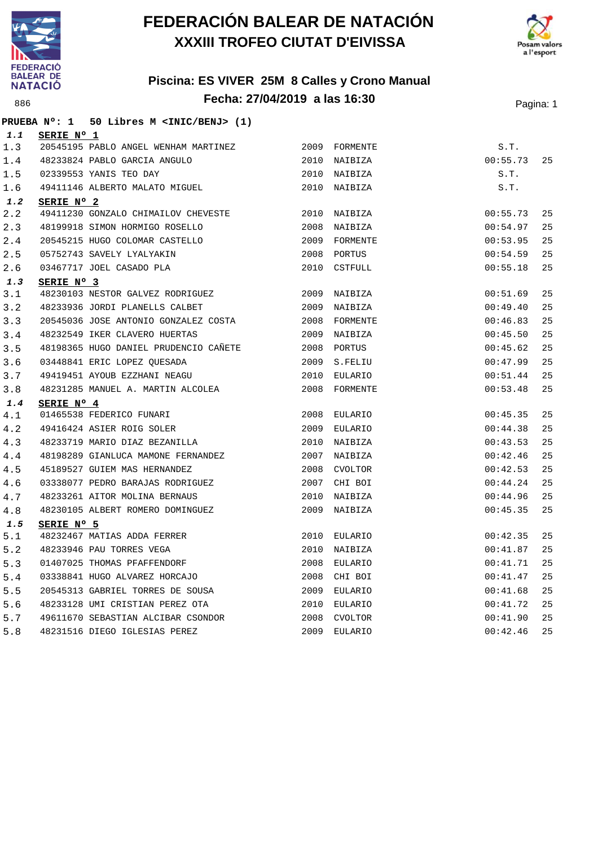





|     |            | PRUEBA Nº: 1 50 Libres M <inic benj=""> (1)</inic>                                     |      |               |          |    |
|-----|------------|----------------------------------------------------------------------------------------|------|---------------|----------|----|
| 1.1 | SERIE Nº 1 |                                                                                        |      |               |          |    |
| 1.3 |            | 20545195 PABLO ANGEL WENHAM MARTINEZ                                                   |      | 2009 FORMENTE | S.T.     |    |
| 1.4 |            | 48233824 PABLO GARCIA ANGULO                                                           | 2010 | NAIBIZA       | 00:55.73 | 25 |
| 1.5 |            | 02339553 YANIS TEO DAY                                                                 | 2010 | NAIBIZA       | S.T.     |    |
| 1.6 |            | 49411146 ALBERTO MALATO MIGUEL                                                         | 2010 | NAIBIZA       | S.T.     |    |
| 1.2 | SERIE Nº 2 |                                                                                        |      |               |          |    |
| 2.2 |            | 49411230 GONZALO CHIMAILOV CHEVESTE                                                    |      | 2010 NAIBIZA  | 00:55.73 | 25 |
| 2.3 |            | 48199918 SIMON HORMIGO ROSELLO                                                         |      | 2008 NAIBIZA  | 00:54.97 | 25 |
| 2.4 |            | 20545215 HUGO COLOMAR CASTELLO                                                         |      | 2009 FORMENTE | 00:53.95 | 25 |
| 2.5 |            | 05752743 SAVELY LYALYAKIN                                                              |      | 2008 PORTUS   | 00:54.59 | 25 |
| 2.6 |            | 03467717 JOEL CASADO PLA                                                               |      | 2010 CSTFULL  | 00:55.18 | 25 |
| 1.3 | SERIE Nº 3 |                                                                                        |      |               |          |    |
| 3.1 |            | 48230103 NESTOR GALVEZ RODRIGUEZ                                                       | 2009 | NAIBIZA       | 00:51.69 | 25 |
| 3.2 |            | 48233936 JORDI PLANELLS CALBET                                                         | 2009 | NAIBIZA       | 00:49.40 | 25 |
| 3.3 |            | 20545036 JOSE ANTONIO GONZALEZ COSTA                                                   | 2008 | FORMENTE      | 00:46.83 | 25 |
| 3.4 |            | 48232549 IKER CLAVERO HUERTAS                                                          | 2009 | NAIBIZA       | 00:45.50 | 25 |
| 3.5 |            | 48198365 HUGO DANIEL PRUDENCIO CAÑETE                                                  | 2008 | PORTUS        | 00:45.62 | 25 |
| 3.6 |            | 03448841 ERIC LOPEZ QUESADA                                                            | 2009 | S.FELIU       | 00:47.99 | 25 |
| 3.7 |            | 49419451 AYOUB EZZHANI NEAGU                                                           | 2010 | EULARIO       | 00:51.44 | 25 |
| 3.8 |            | 48231285 MANUEL A. MARTIN ALCOLEA                                                      |      | 2008 FORMENTE | 00:53.48 | 25 |
| 1.4 | SERIE Nº 4 |                                                                                        |      |               |          |    |
| 4.1 |            |                                                                                        |      | 2008 EULARIO  | 00:45.35 | 25 |
| 4.2 |            |                                                                                        | 2009 | EULARIO       | 00:44.38 | 25 |
| 4.3 |            | 01465538 FEDERICO FUNARI<br>49416424 ASIER ROIG SOLER<br>48233719 MARIO DIAZ BEZANILLA | 2010 | NAIBIZA       | 00:43.53 | 25 |
| 4.4 |            | 48198289 GIANLUCA MAMONE FERNANDEZ<br>45189527 GUIEM MAS HERNANDEZ                     | 2007 | NAIBIZA       | 00:42.46 | 25 |
| 4.5 |            |                                                                                        |      | 2008 CVOLTOR  | 00:42.53 | 25 |
| 4.6 |            | 03338077 PEDRO BARAJAS RODRIGUEZ                                                       | 2007 | CHI BOI       | 00:44.24 | 25 |
| 4.7 |            | 48233261 AITOR MOLINA BERNAUS                                                          | 2010 | NAIBIZA       | 00:44.96 | 25 |
| 4.8 |            | 48230105 ALBERT ROMERO DOMINGUEZ                                                       | 2009 | NAIBIZA       | 00:45.35 | 25 |
| 1.5 | SERIE Nº 5 |                                                                                        |      |               |          |    |
| 5.1 |            | 48232467 MATIAS ADDA FERRER                                                            | 2010 | EULARIO       | 00:42.35 | 25 |
| 5.2 |            | 48233946 PAU TORRES VEGA                                                               | 2010 | NAIBIZA       | 00:41.87 | 25 |
| 5.3 |            | 01407025 THOMAS PFAFFENDORF                                                            | 2008 | EULARIO       | 00:41.71 | 25 |
| 5.4 |            | 03338841 HUGO ALVAREZ HORCAJO                                                          | 2008 | CHI BOI       | 00:41.47 | 25 |
| 5.5 |            | 20545313 GABRIEL TORRES DE SOUSA                                                       | 2009 | EULARIO       | 00:41.68 | 25 |
| 5.6 |            | 48233128 UMI CRISTIAN PEREZ OTA                                                        | 2010 | EULARIO       | 00:41.72 | 25 |
| 5.7 |            | 49611670 SEBASTIAN ALCIBAR CSONDOR<br>^°^31516 DIEGO IGLESIAS PEREZ                    | 2008 | CVOLTOR       | 00:41.90 | 25 |
| 5.8 |            |                                                                                        |      | 2009 EULARIO  | 00:42.46 | 25 |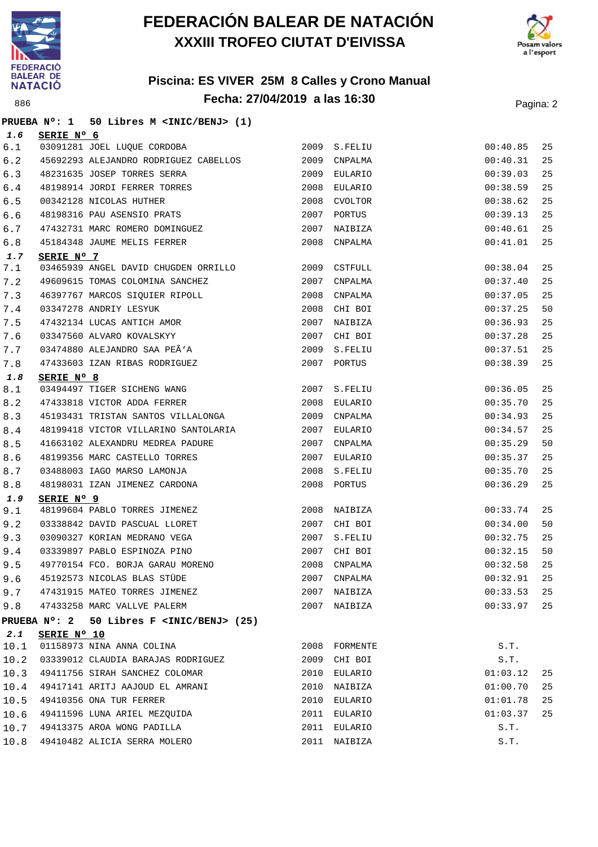



|             |             | PRUEBA Nº: 1 50 Libres M <inic benj=""> (1)</inic>                                     |              |                              |          |          |
|-------------|-------------|----------------------------------------------------------------------------------------|--------------|------------------------------|----------|----------|
| 1.6         | SERIE Nº 6  |                                                                                        |              |                              |          |          |
| $6.1$       |             | 03091281 JOEL LUQUE CORDOBA                                                            |              | 2009 S.FELIU                 | 00:40.85 | 25       |
| 6.2         |             | 45692293 ALEJANDRO RODRIGUEZ CABELLOS                                                  | 2009         | CNPALMA                      | 00:40.31 | 25       |
| 6.3         |             | 48231635 JOSEP TORRES SERRA                                                            |              | 2009 EULARIO                 | 00:39.03 | 25       |
| 6.4         |             | 48198914 JORDI FERRER TORRES                                                           |              | 2008 EULARIO                 | 00:38.59 | 25       |
| 6.5         |             | 00342128 NICOLAS HUTHER<br>48198316 PAU ASENSIO PRATS<br>47422721 ----                 | 2008         | CVOLTOR                      | 00:38.62 | 25       |
| 6.6         |             |                                                                                        | 2007         | PORTUS                       | 00:39.13 | 25       |
| 6.7         |             | 47432731 MARC ROMERO DOMINGUEZ                                                         | 2007         | NAIBIZA                      | 00:40.61 | 25       |
| 6.8         |             | 45184348 JAUME MELIS FERRER                                                            |              | 2008 CNPALMA                 | 00:41.01 | 25       |
| 1.7         | SERIE Nº 7  |                                                                                        |              |                              |          |          |
| 7.1         |             | 03465939 ANGEL DAVID CHUGDEN ORRILLO 2009 CSTFULL                                      |              |                              | 00:38.04 | 25       |
| 7.2         |             | 49609615 TOMAS COLOMINA SANCHEZ                                                        | 2007         | CNPALMA                      | 00:37.40 | 25       |
| 7.3         |             | 46397767 MARCOS SIQUIER RIPOLL<br>03347278 ANDRIY LESYUK<br>47432134 LUCAS ANTICH AMOR | 2008         | $\texttt{CNPALMA}$           | 00:37.05 | 25       |
| 7.4         |             |                                                                                        |              | 2008 CHI BOI                 | 00:37.25 | 50       |
| 7.5         |             |                                                                                        |              | 2007 NAIBIZA                 | 00:36.93 | 25       |
| 7.6         |             | 03347560 ALVARO KOVALSKYY                                                              | 2007         | CHI BOI                      | 00:37.28 | 25       |
| 7.7         |             | 03474880 ALEJANDRO SAA PEÃ'A                                                           | 2009         | S.FELIU                      | 00:37.51 | 25       |
| 7.8         |             | 47433603 IZAN RIBAS RODRIGUEZ                                                          |              | 2007 PORTUS                  | 00:38.39 | 25       |
| 1.8         | SERIE Nº 8  |                                                                                        |              |                              |          |          |
| $8.1\,$     |             | 03494497 TIGER SICHENG WANG                                                            |              | 2007 S.FELIU                 | 00:36.05 | 25       |
| 8.2         |             | 47433818 VICTOR ADDA FERRER                                                            | 2008         | EULARIO                      | 00:35.70 | 25       |
| 8.3         |             | 45193431 TRISTAN SANTOS VILLALONGA                                                     |              | 2009 CNPALMA                 | 00:34.93 | 25       |
| 8.4         |             | 48199418 VICTOR VILLARINO SANTOLARIA                                                   |              | 2007 EULARIO                 | 00:34.57 | 25       |
| 8.5         |             | 41663102 ALEXANDRU MEDREA PADURE                                                       | 2007         | CNPALMA                      | 00:35.29 | 50       |
| 8.6         |             | 48199356 MARC CASTELLO TORRES                                                          | 2007         | EULARIO                      | 00:35.37 | 25       |
| 8.7         |             | 03488003 IAGO MARSO LAMONJA                                                            |              | 2008 S.FELIU                 | 00:35.70 | 25       |
| 8.8         |             | 48198031 IZAN JIMENEZ CARDONA                                                          |              | 2008 PORTUS                  | 00:36.29 | 25       |
| 1.9         | SERIE Nº 9  | 48199604 PABLO TORRES JIMENEZ                                                          | 2008         | NAIBIZA                      | 00:33.74 | 25       |
| 9.1<br>9.2  |             | 03338842 DAVID PASCUAL LLORET                                                          | 2007         | CHI BOI                      | 00:34.00 | 50       |
|             |             | 03090327 KORIAN MEDRANO VEGA                                                           |              | 2007 S.FELIU                 | 00:32.75 | 25       |
| 9.3<br>9.4  |             | 03339897 PABLO ESPINOZA PINO                                                           |              | 2007 CHI BOI                 | 00:32.15 | 50       |
|             |             | 49770154 FCO. BORJA GARAU MORENO                                                       |              |                              | 00:32.58 |          |
| 9.5         |             | 45192573 NICOLAS BLAS STÜDE                                                            | 2008<br>2007 | CNPALMA<br>CNPALMA           | 00:32.91 | 25<br>25 |
| 9.6         |             | 47431915 MATEO TORRES JIMENEZ                                                          |              |                              | 00:33.53 | 25       |
| 9.7         |             | 47433258 MARC VALLVE PALERM                                                            |              | 2007 NAIBIZA<br>2007 NAIBIZA | 00:33.97 | 25       |
| 9.8         |             |                                                                                        |              |                              |          |          |
|             |             | PRUEBA Nº: 2 50 Libres F <inic benj=""> (25)</inic>                                    |              |                              |          |          |
| 2.1<br>10.1 | SERIE Nº 10 | 01158973 NINA ANNA COLINA                                                              | 2008         | FORMENTE                     | S.T.     |          |
| 10.2        |             | 03339012 CLAUDIA BARAJAS RODRIGUEZ                                                     | 2009         | CHI BOI                      | S.T.     |          |
| 10.3        |             | 49411756 SIRAH SANCHEZ COLOMAR                                                         | 2010         | EULARIO                      | 01:03.12 | 25       |
| 10.4        |             | 49417141 ARITJ AAJOUD EL AMRANI                                                        | 2010         | NAIBIZA                      | 01:00.70 | 25       |
| 10.5        |             | 49410356 ONA TUR FERRER                                                                | 2010         | EULARIO                      | 01:01.78 | 25       |
| 10.6        |             | 49411596 LUNA ARIEL MEZQUIDA                                                           |              | 2011 EULARIO                 | 01:03.37 | 25       |
| 10.7        |             | 49413375 AROA WONG PADILLA                                                             | 2011         | EULARIO                      | S.T.     |          |
| 10.8        |             | 49410482 ALICIA SERRA MOLERO                                                           |              | 2011 NAIBIZA                 | S.T.     |          |
|             |             |                                                                                        |              |                              |          |          |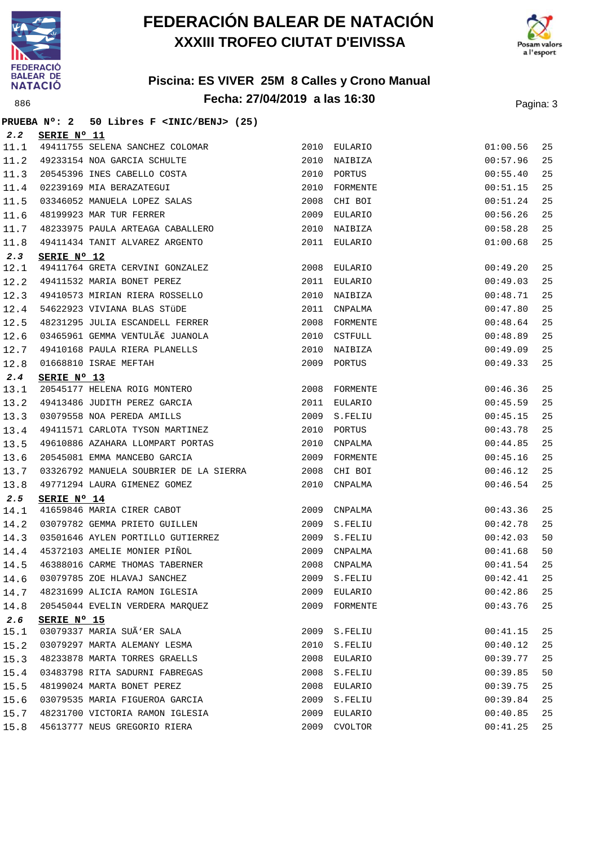

**PRUEBA Nº: 2 50 Libres F <INIC/BENJ> (25)**

## **FEDERACIÓN BALEAR DE NATACIÓN XXXIII TROFEO CIUTAT D'EIVISSA**



| 2.2  | SERIE Nº 11                                              |      |                |             |    |
|------|----------------------------------------------------------|------|----------------|-------------|----|
| 11.1 | 49411755 SELENA SANCHEZ COLOMAR                          |      | 2010 EULARIO   | 01:00.56    | 25 |
| 11.2 | 49233154 NOA GARCIA SCHULTE                              | 2010 | NAIBIZA        | 00:57.96    | 25 |
| 11.3 | 20545396 INES CABELLO COSTA                              | 2010 | PORTUS         | 00:55.40    | 25 |
| 11.4 | 02239169 MIA BERAZATEGUI                                 | 2010 | FORMENTE       | 00:51.15    | 25 |
| 11.5 | 02239169 MIA BERAZAIEGOI<br>03346052 MANUELA LOPEZ SALAS | 2008 | CHI BOI        | 00:51.24    | 25 |
| 11.6 | 48199923 MAR TUR FERRER                                  | 2009 | EULARIO        | 00:56.26    | 25 |
| 11.7 | 48233975 PAULA ARTEAGA CABALLERO                         | 2010 | NAIBIZA        | 00:58.28    | 25 |
| 11.8 | 49411434 TANIT ALVAREZ ARGENTO                           |      | 2011 EULARIO   | 01:00.68    | 25 |
| 2.3  | SERIE Nº 12                                              |      |                |             |    |
| 12.1 | 49411764 GRETA CERVINI GONZALEZ                          |      | 2008 EULARIO   | 00:49.20    | 25 |
| 12.2 | 49411532 MARIA BONET PEREZ                               | 2011 | EULARIO        | 00:49.03    | 25 |
| 12.3 | 49410573 MIRIAN RIERA ROSSELLO                           | 2010 | NAIBIZA        | 00:48.71    | 25 |
| 12.4 | 54622923 VIVIANA BLAS STÜDE                              |      | 2011 CNPALMA   | 00:47.80    | 25 |
| 12.5 | 48231295 JULIA ESCANDELL FERRER                          |      | 2008 FORMENTE  | 00:48.64    | 25 |
| 12.6 | $03465961$ GEMMA VENTULÃ $\varepsilon$ JUANOLA           | 2010 | CSTFULL        | 00:48.89    | 25 |
| 12.7 | 49410168 PAULA RIERA PLANELLS<br>01668810 ISRAE MEFTAH   | 2010 | NAIBIZA        | 00:49.09    | 25 |
| 12.8 |                                                          |      | 2009 PORTUS    | 00:49.33    | 25 |
| 2.4  | SERIE Nº 13                                              |      |                |             |    |
| 13.1 | 20545177 HELENA ROIG MONTERO                             | 2008 | FORMENTE       | 00:46.36    | 25 |
| 13.2 | 49413486 JUDITH PEREZ GARCIA                             | 2011 | EULARIO        | 00:45.59    | 25 |
| 13.3 | 03079558 NOA PEREDA AMILLS                               | 2009 | S.FELIU        | 00:45.15    | 25 |
| 13.4 | 49411571 CARLOTA TYSON MARTINEZ                          |      | 2010 PORTUS    | 00:43.78    | 25 |
| 13.5 | 49610886 AZAHARA LLOMPART PORTAS                         | 2010 | CNPALMA        | 00:44.85    | 25 |
| 13.6 | 20545081 EMMA MANCEBO GARCIA                             | 2009 | FORMENTE       | 00:45.16    | 25 |
| 13.7 | 03326792 MANUELA SOUBRIER DE LA SIERRA                   | 2008 | CHI BOI        | 00:46.12    | 25 |
| 13.8 | 49771294 LAURA GIMENEZ GOMEZ                             | 2010 | CNPALMA        | 00:46.54    | 25 |
| 2.5  | SERIE Nº 14                                              |      |                |             |    |
| 14.1 | 41659846 MARIA CIRER CABOT                               | 2009 | CNPALMA        | 00:43.36    | 25 |
| 14.2 | 03079782 GEMMA PRIETO GUILLEN                            | 2009 | S.FELIU        | 00:42.78    | 25 |
| 14.3 | 03501646 AYLEN PORTILLO GUTIERREZ                        | 2009 | S.FELIU        | 00:42.03    | 50 |
| 14.4 | 45372103 AMELIE MONIER PIÑOL                             | 2009 | CNPALMA        | 00:41.68    | 50 |
| 14.5 | 46388016 CARME THOMAS TABERNER                           | 2008 | CNPALMA        | 00:41.54    | 25 |
|      | 14.6 03079785 ZOE HLAVAJ SANCHEZ                         |      | 2009 S.FELIU   | 00:42.41 25 |    |
| 14.7 | 48231699 ALICIA RAMON IGLESIA                            |      | 2009 EULARIO   | 00:42.86    | 25 |
| 14.8 | 20545044 EVELIN VERDERA MARQUEZ                          | 2009 | FORMENTE       | 00:43.76    | 25 |
| 2.6  | SERIE Nº 15                                              |      |                |             |    |
| 15.1 | 03079337 MARIA SUÃ'ER SALA                               | 2009 | S.FELIU        | 00:41.15    | 25 |
| 15.2 | 03079297 MARTA ALEMANY LESMA                             | 2010 | S.FELIU        | 00:40.12    | 25 |
| 15.3 | 48233878 MARTA TORRES GRAELLS                            | 2008 | EULARIO        | 00:39.77    | 25 |
| 15.4 | 03483798 RITA SADURNI FABREGAS                           | 2008 | S.FELIU        | 00:39.85    | 50 |
| 15.5 | 48199024 MARTA BONET PEREZ                               | 2008 | EULARIO        | 00:39.75    | 25 |
| 15.6 | 03079535 MARIA FIGUEROA GARCIA                           | 2009 | S.FELIU        | 00:39.84    | 25 |
| 15.7 | 48231700 VICTORIA RAMON IGLESIA                          | 2009 | EULARIO        | 00:40.85    | 25 |
| 15.8 | 45613777 NEUS GREGORIO RIERA                             | 2009 | <b>CVOLTOR</b> | 00:41.25    | 25 |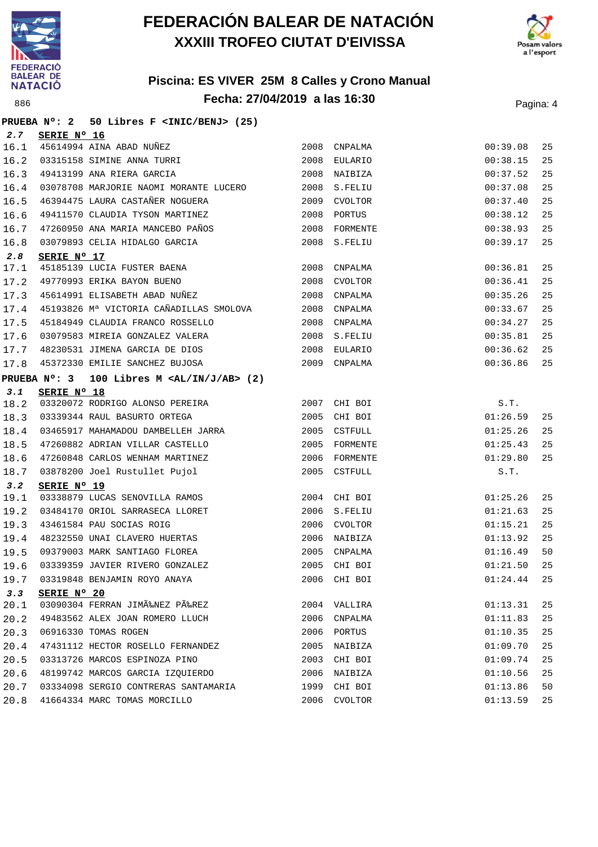



|      |             | PRUEBA Nº: 2 50 Libres F <inic benj=""> (25)</inic>                |      |               |             |    |
|------|-------------|--------------------------------------------------------------------|------|---------------|-------------|----|
| 2.7  | SERIE Nº 16 |                                                                    |      |               |             |    |
| 16.1 |             |                                                                    |      |               | 00:39.08    | 25 |
| 16.2 |             |                                                                    |      |               | 00:38.15    | 25 |
| 16.3 |             |                                                                    |      |               | 00:37.52    | 25 |
| 16.4 |             | 03078708 MARJORIE NAOMI MORANTE LUCERO 2008 S.FELIU                |      |               | 00:37.08    | 25 |
| 16.5 |             | 46394475 LAURA CASTAÑER NOGUERA<br>$$\tt 2009$$ CVOLTOR            |      |               | 00:37.40    | 25 |
| 16.6 |             | 49411570 CLAUDIA TYSON MARTINEZ                                    | 2008 | PORTUS        | 00:38.12    | 25 |
| 16.7 |             | 47260950 ANA MARIA MANCEBO PAÑOS                                   | 2008 | FORMENTE      | 00:38.93    | 25 |
| 16.8 |             | 03079893 CELIA HIDALGO GARCIA                                      |      | 2008 S.FELIU  | 00:39.17    | 25 |
| 2.8  | SERIE Nº 17 |                                                                    |      |               |             |    |
| 17.1 |             | 45185139 LUCIA FUSTER BAENA<br>49770993 ERIKA BAYON BUENO          |      | 2008 CNPALMA  | 00:36.81    | 25 |
| 17.2 |             |                                                                    | 2008 | CVOLTOR       | 00:36.41    | 25 |
| 17.3 |             | 45614991 ELISABETH ABAD NUÑEZ 2008                                 |      | CNPALMA       | 00:35.26    | 25 |
| 17.4 |             | 45193826 Mª VICTORIA CAÑADILLAS SMOLOVA 2008 CNPALMA               |      |               | 00:33.67    | 25 |
| 17.5 |             | 45184949 CLAUDIA FRANCO ROSSELLO<br>2008 CNPALMA                   |      |               | 00:34.27    | 25 |
| 17.6 |             | 03079583 MIREIA GONZALEZ VALERA                                    | 2008 | S.FELIU       | 00:35.81    | 25 |
| 17.7 |             | 48230531 JIMENA GARCIA DE DIOS                                     |      | 2008 EULARIO  | 00:36.62    | 25 |
| 17.8 |             | 45372330 EMILIE SANCHEZ BUJOSA                                     |      | 2009 CNPALMA  | 00:36.86    | 25 |
|      |             | PRUEBA $N^{\circ}$ : 3 100 Libres M <al ab="" in="" j=""> (2)</al> |      |               |             |    |
| 3.1  | SERIE Nº 18 |                                                                    |      |               |             |    |
| 18.2 |             | 03320072 RODRIGO ALONSO PEREIRA                                    |      | 2007 CHI BOI  | S.T.        |    |
| 18.3 |             |                                                                    |      |               | 01:26.59    | 25 |
| 18.4 |             |                                                                    |      |               | 01:25.26    | 25 |
| 18.5 |             | 47260882 ADRIAN VILLAR CASTELLO                                    |      | 2005 FORMENTE | 01:25.43    | 25 |
| 18.6 |             | 47260848 CARLOS WENHAM MARTINEZ                                    |      | 2006 FORMENTE | 01:29.80    | 25 |
| 18.7 |             | 03878200 Joel Rustullet Pujol                                      |      | 2005 CSTFULL  | S.T.        |    |
| 3.2  | SERIE Nº 19 |                                                                    |      |               |             |    |
| 19.1 |             | 03338879 LUCAS SENOVILLA RAMOS                                     |      | 2004 CHI BOI  | 01:25.26    | 25 |
| 19.2 |             | 03484170 ORIOL SARRASECA LLORET                                    |      | 2006 S.FELIU  | 01:21.63    | 25 |
| 19.3 |             | 43461584 PAU SOCIAS ROIG<br>48232550 UNAI CLAVERO HUERTAS          |      | 2006 CVOLTOR  | 01:15.21    | 25 |
| 19.4 |             |                                                                    |      | 2006 NAIBIZA  | 01:13.92    | 25 |
| 19.5 |             | 09379003 MARK SANTIAGO FLOREA 2005 CNPALMA                         |      |               | 01:16.49    | 50 |
|      |             | 19.6 03339359 JAVIER RIVERO GONZALEZ 6 2005 CHI BOI                |      |               | 01:21.50 25 |    |
|      |             | 19.7 03319848 BENJAMIN ROYO ANAYA                                  |      | 2006 CHI BOI  | 01:24.44    | 25 |
| 3.3  | SERIE Nº 20 |                                                                    |      |               |             |    |
| 20.1 |             | 03090304 FERRAN JIMÉNEZ PÉREZ                                      |      | 2004 VALLIRA  | 01:13.31    | 25 |
| 20.2 |             | 49483562 ALEX JOAN ROMERO LLUCH                                    |      | 2006 CNPALMA  | 01:11.83    | 25 |
| 20.3 |             | 06916330 TOMAS ROGEN                                               |      | 2006 PORTUS   | 01:10.35    | 25 |
| 20.4 |             | 47431112 HECTOR ROSELLO FERNANDEZ                                  |      | 2005 NAIBIZA  | 01:09.70    | 25 |
| 20.5 |             | 03313726 MARCOS ESPINOZA PINO                                      |      | 2003 CHI BOI  | 01:09.74    | 25 |
| 20.6 |             | 48199742 MARCOS GARCIA IZQUIERDO                                   |      | 2006 NAIBIZA  | 01:10.56    | 25 |
| 20.7 |             | 03334098 SERGIO CONTRERAS SANTAMARIA                               |      | 1999 CHI BOI  | 01:13.86    | 50 |
| 20.8 |             | 41664334 MARC TOMAS MORCILLO                                       |      | 2006 CVOLTOR  | 01:13.59    | 25 |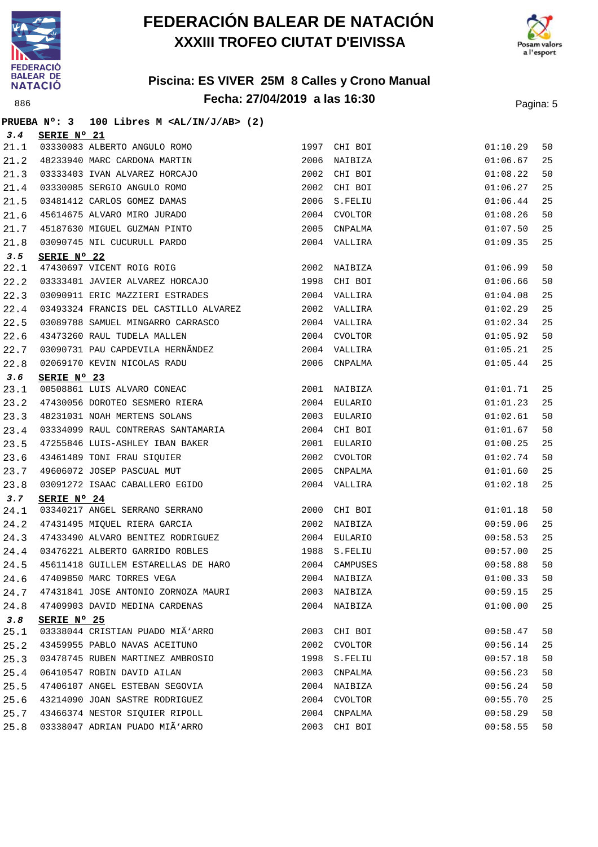



|      | PRUEBA N°: 3 | 100 Libres M $\langle \text{AL}/\text{IN}/\text{J}/\text{AB} \rangle$ (2) |      |              |             |    |
|------|--------------|---------------------------------------------------------------------------|------|--------------|-------------|----|
| 3.4  | SERIE Nº 21  |                                                                           |      |              |             |    |
| 21.1 |              | 03330083 ALBERTO ANGULO ROMO                                              |      | 1997 CHI BOI | 01:10.29    | 50 |
| 21.2 |              | 48233940 MARC CARDONA MARTIN                                              |      | 2006 NAIBIZA | 01:06.67    | 25 |
| 21.3 |              | 03333403 IVAN ALVAREZ HORCAJO                                             |      | 2002 CHI BOI | 01:08.22    | 50 |
| 21.4 |              | 03330085 SERGIO ANGULO ROMO                                               |      | 2002 CHI BOI | 01:06.27    | 25 |
| 21.5 |              | 03481412 CARLOS GOMEZ DAMAS                                               |      | 2006 S.FELIU | 01:06.44    | 25 |
| 21.6 |              | 45614675 ALVARO MIRO JURADO                                               |      | 2004 CVOLTOR | 01:08.26    | 50 |
| 21.7 |              | 45187630 MIGUEL GUZMAN PINTO                                              |      | 2005 CNPALMA | 01:07.50    | 25 |
| 21.8 |              | 03090745 NIL CUCURULL PARDO                                               |      | 2004 VALLIRA | 01:09.35    | 25 |
| 3.5  | SERIE Nº 22  |                                                                           |      |              |             |    |
| 22.1 |              | 47430697 VICENT ROIG ROIG<br>03333401 JAVIER ALVAREZ HORCAJO              |      | 2002 NAIBIZA | 01:06.99    | 50 |
| 22.2 |              |                                                                           |      | 1998 CHI BOI | 01:06.66    | 50 |
| 22.3 |              |                                                                           |      |              | 01:04.08    | 25 |
| 22.4 |              | 03493324 FRANCIS DEL CASTILLO ALVAREZ 62002 VALLIRA                       |      |              | 01:02.29    | 25 |
| 22.5 |              |                                                                           |      |              | 01:02.34    | 25 |
| 22.6 |              |                                                                           |      |              | 01:05.92    | 50 |
| 22.7 |              | 03090731 PAU CAPDEVILA HERNÃNDEZ 2004 VALLIRA                             |      |              | 01:05.21    | 25 |
| 22.8 |              | 02069170 KEVIN NICOLAS RADU                                               |      | 2006 CNPALMA | 01:05.44    | 25 |
| 3.6  | SERIE Nº 23  |                                                                           |      |              |             |    |
| 23.1 |              | 00508861 LUIS ALVARO CONEAC                                               |      | 2001 NAIBIZA | 01:01.71    | 25 |
| 23.2 |              | 47430056 DOROTEO SESMERO RIERA                                            |      | 2004 EULARIO | 01:01.23    | 25 |
| 23.3 |              | 48231031 NOAH MERTENS SOLANS                                              |      | 2003 EULARIO | 01:02.61    | 50 |
| 23.4 |              | 03334099 RAUL CONTRERAS SANTAMARIA                                        |      | 2004 CHI BOI | 01:01.67    | 50 |
| 23.5 |              | 47255846 LUIS-ASHLEY IBAN BAKER                                           |      | 2001 EULARIO | 01:00.25    | 25 |
| 23.6 |              | 43461489 TONI FRAU SIQUIER                                                |      | 2002 CVOLTOR | 01:02.74    | 50 |
| 23.7 |              | 49606072 JOSEP PASCUAL MUT                                                |      | 2005 CNPALMA | 01:01.60    | 25 |
| 23.8 |              | 03091272 ISAAC CABALLERO EGIDO                                            |      | 2004 VALLIRA | 01:02.18    | 25 |
| 3.7  | SERIE Nº 24  |                                                                           |      |              |             |    |
| 24.1 |              | 03340217 ANGEL SERRANO SERRANO                                            |      | 2000 CHI BOI | 01:01.18    | 50 |
| 24.2 |              | 47431495 MIQUEL RIERA GARCIA (2002 NAIBIZA                                |      |              | 00:59.06    | 25 |
| 24.3 |              | 47433490 ALVARO BENITEZ RODRIGUEZ 2004 EULARIO                            |      |              | 00:58.53    | 25 |
| 24.4 |              | 03476221 ALBERTO GARRIDO ROBLES                                           |      | 1988 S.FELIU | 00:57.00    | 25 |
|      |              | 24.5 45611418 GUILLEM ESTARELLAS DE HARO 2004 CAMPUSES                    |      |              | 00:58.88 50 |    |
| 24.6 |              | 47409850 MARC TORRES VEGA                                                 |      | 2004 NAIBIZA | 01:00.33    | 50 |
| 24.7 |              | 47431841 JOSE ANTONIO ZORNOZA MAURI                                       | 2003 | NAIBIZA      | 00:59.15    | 25 |
| 24.8 |              | 47409903 DAVID MEDINA CARDENAS                                            |      | 2004 NAIBIZA | 01:00.00    | 25 |
| 3.8  | SERIE Nº 25  |                                                                           |      |              |             |    |
| 25.1 |              | 03338044 CRISTIAN PUADO MIÃ'ARRO                                          | 2003 | CHI BOI      | 00:58.47    | 50 |
| 25.2 |              | 43459955 PABLO NAVAS ACEITUNO                                             | 2002 | CVOLTOR      | 00:56.14    | 25 |
| 25.3 |              | 03478745 RUBEN MARTINEZ AMBROSIO                                          |      | 1998 S.FELIU | 00:57.18    | 50 |
| 25.4 |              | 06410547 ROBIN DAVID AILAN                                                |      | 2003 CNPALMA | 00:56.23    | 50 |
| 25.5 |              | 47406107 ANGEL ESTEBAN SEGOVIA                                            |      | 2004 NAIBIZA | 00:56.24    | 50 |
| 25.6 |              | 43214090 JOAN SASTRE RODRIGUEZ                                            |      | 2004 CVOLTOR | 00:55.70    | 25 |
| 25.7 |              | 43466374 NESTOR SIQUIER RIPOLL                                            | 2004 | CNPALMA      | 00:58.29    | 50 |
| 25.8 |              | 03338047 ADRIAN PUADO MIÃ'ARRO                                            |      | 2003 CHI BOI | 00:58.55    | 50 |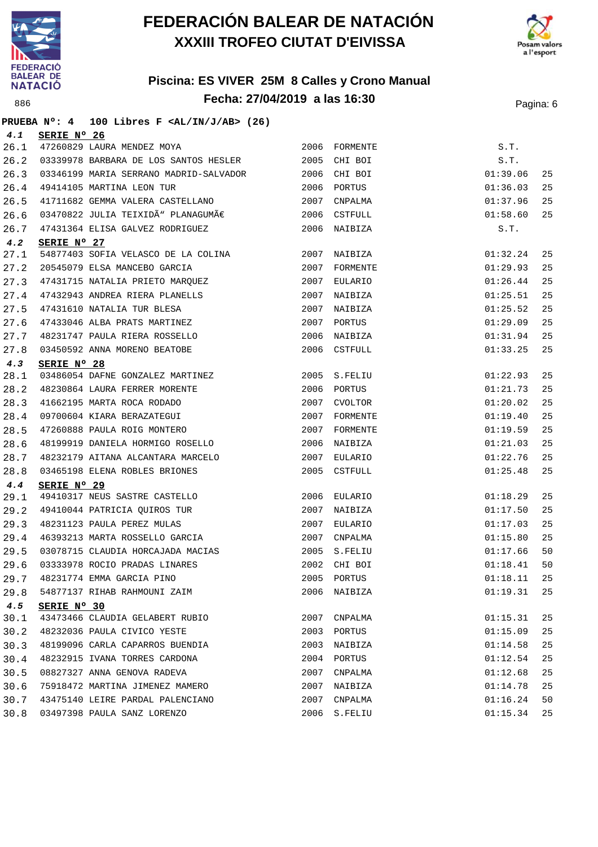



#### **Piscina: ES VIVER 25M 8 Calles y Crono Manual Fecha: 27/04/2019 a las 16:30** Pagina: 6

**PRUEBA Nº: 4 100 Libres F <AL/IN/J/AB> (26)**

| 4.1  | SERIE Nº 26                                                |      |                |          |    |
|------|------------------------------------------------------------|------|----------------|----------|----|
| 26.1 | 47260829 LAURA MENDEZ MOYA                                 | 2006 | FORMENTE       | S.T.     |    |
| 26.2 | 03339978 BARBARA DE LOS SANTOS HESLER                      | 2005 | CHI BOI        | S.T.     |    |
| 26.3 | 03346199 MARIA SERRANO MADRID-SALVADOR                     | 2006 | CHI BOI        | 01:39.06 | 25 |
| 26.4 | 49414105 MARTINA LEON TUR                                  |      | 2006 PORTUS    | 01:36.03 | 25 |
| 26.5 | 41711682 GEMMA VALERA CASTELLANO                           | 2007 | CNPALMA        | 01:37.96 | 25 |
| 26.6 | 03470822 JULIA TEIXIDÙ PLANAGUMÀ                           | 2006 | <b>CSTFULL</b> | 01:58.60 | 25 |
| 26.7 | 47431364 ELISA GALVEZ RODRIGUEZ                            |      | 2006 NAIBIZA   | S.T.     |    |
| 4.2  | SERIE Nº 27                                                |      |                |          |    |
| 27.1 | 54877403 SOFIA VELASCO DE LA COLINA                        |      | 2007 NAIBIZA   | 01:32.24 | 25 |
| 27.2 | 20545079 ELSA MANCEBO GARCIA                               |      | 2007 FORMENTE  | 01:29.93 | 25 |
| 27.3 | 47431715 NATALIA PRIETO MARQUEZ                            | 2007 | EULARIO        | 01:26.44 | 25 |
| 27.4 | 47432943 ANDREA RIERA PLANELLS                             |      | 2007 NAIBIZA   | 01:25.51 | 25 |
| 27.5 | 47431610 NATALIA TUR BLESA<br>47433046 ALBA PRATS MARTINEZ |      | 2007 NAIBIZA   | 01:25.52 | 25 |
| 27.6 |                                                            |      | 2007 PORTUS    | 01:29.09 | 25 |
| 27.7 | 48231747 PAULA RIERA ROSSELLO                              | 2006 | NAIBIZA        | 01:31.94 | 25 |
| 27.8 | 03450592 ANNA MORENO BEATOBE                               |      | 2006 CSTFULL   | 01:33.25 | 25 |
| 4.3  | SERIE Nº 28                                                |      |                |          |    |
| 28.1 | 03486054 DAFNE GONZALEZ MARTINEZ                           |      | 2005 S.FELIU   | 01:22.93 | 25 |
| 28.2 | 48230864 LAURA FERRER MORENTE                              | 2006 | PORTUS         | 01:21.73 | 25 |
| 28.3 | 41662195 MARTA ROCA RODADO                                 | 2007 | CVOLTOR        | 01:20.02 | 25 |
| 28.4 | 09700604 KIARA BERAZATEGUI                                 | 2007 | FORMENTE       | 01:19.40 | 25 |
| 28.5 | 47260888 PAULA ROIG MONTERO                                |      | 2007 FORMENTE  | 01:19.59 | 25 |
| 28.6 | 48199919 DANIELA HORMIGO ROSELLO                           | 2006 | NAIBIZA        | 01:21.03 | 25 |
| 28.7 | 48232179 AITANA ALCANTARA MARCELO                          | 2007 | EULARIO        | 01:22.76 | 25 |
| 28.8 | 03465198 ELENA ROBLES BRIONES                              | 2005 | CSTFULL        | 01:25.48 | 25 |
| 4.4  | SERIE Nº 29                                                |      |                |          |    |
| 29.1 | 49410317 NEUS SASTRE CASTELLO                              | 2006 | EULARIO        | 01:18.29 | 25 |
| 29.2 | 49410044 PATRICIA QUIROS TUR                               | 2007 | NAIBIZA        | 01:17.50 | 25 |
| 29.3 | 48231123 PAULA PEREZ MULAS                                 | 2007 | EULARIO        | 01:17.03 | 25 |
| 29.4 | 46393213 MARTA ROSSELLO GARCIA                             | 2007 | CNPALMA        | 01:15.80 | 25 |
| 29.5 | 03078715 CLAUDIA HORCAJADA MACIAS                          |      | 2005 S.FELIU   | 01:17.66 | 50 |
| 29.6 | 03333978 ROCIO PRADAS LINARES                              | 2002 | CHI BOI        | 01:18.41 | 50 |
| 29.7 | 48231774 EMMA GARCIA PINO                                  |      | 2005 PORTUS    | 01:18.11 | 25 |
| 29.8 | 54877137 RIHAB RAHMOUNI ZAIM                               |      | 2006 NAIBIZA   | 01:19.31 | 25 |
| 4.5  | SERIE Nº 30                                                |      |                |          |    |
| 30.1 | 43473466 CLAUDIA GELABERT RUBIO                            |      | 2007 CNPALMA   | 01:15.31 | 25 |
| 30.2 | 48232036 PAULA CIVICO YESTE                                |      | 2003 PORTUS    | 01:15.09 | 25 |
| 30.3 | 48199096 CARLA CAPARROS BUENDIA                            |      | 2003 NAIBIZA   | 01:14.58 | 25 |
| 30.4 | 48232915 IVANA TORRES CARDONA                              |      | 2004 PORTUS    | 01:12.54 | 25 |
| 30.5 | 08827327 ANNA GENOVA RADEVA                                | 2007 | CNPALMA        | 01:12.68 | 25 |
| 30.6 | 75918472 MARTINA JIMENEZ MAMERO                            | 2007 | NAIBIZA        | 01:14.78 | 25 |
| 30.7 | 43475140 LEIRE PARDAL PALENCIANO                           | 2007 | CNPALMA        | 01:16.24 | 50 |
| 30.8 | 03497398 PAULA SANZ LORENZO                                |      | 2006 S.FELIU   | 01:15.34 | 25 |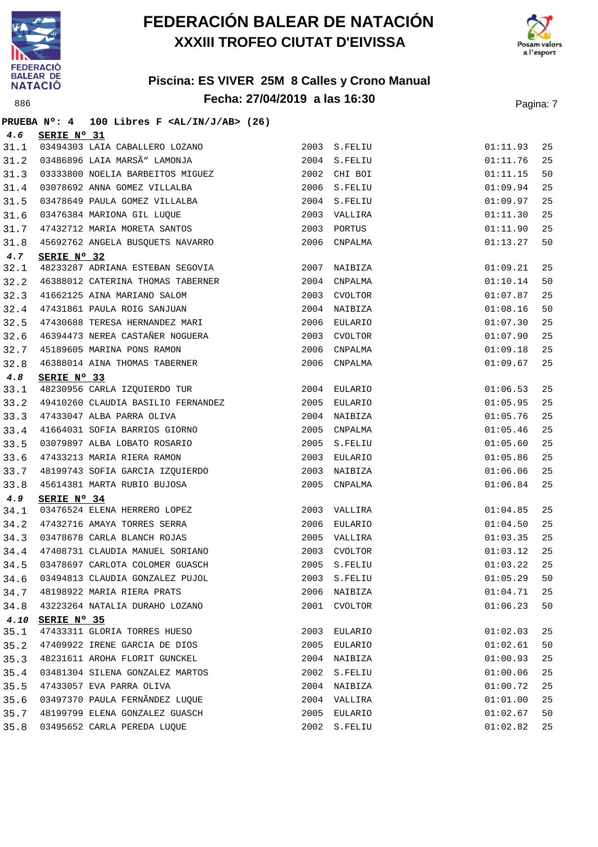



#### **Piscina: ES VIVER 25M 8 Calles y Crono Manual Fecha: 27/04/2019 a las 16:30** Pagina: 7

# **PRUEBA Nº: 4 100 Libres F <AL/IN/J/AB> (26)**

| 4.6  | SERIE Nº 31                        |      |              |          |    |
|------|------------------------------------|------|--------------|----------|----|
| 31.1 | 03494303 LAIA CABALLERO LOZANO     |      | 2003 S.FELIU | 01:11.93 | 25 |
| 31.2 | 03486896 LAIA MARSÃ" LAMONJA       |      | 2004 S.FELIU | 01:11.76 | 25 |
| 31.3 | 03333800 NOELIA BARBEITOS MIGUEZ   |      | 2002 CHI BOI | 01:11.15 | 50 |
| 31.4 | 03078692 ANNA GOMEZ VILLALBA       |      | 2006 S.FELIU | 01:09.94 | 25 |
| 31.5 | 03478649 PAULA GOMEZ VILLALBA      |      | 2004 S.FELIU | 01:09.97 | 25 |
| 31.6 | 03476384 MARIONA GIL LUQUE         |      | 2003 VALLIRA | 01:11.30 | 25 |
| 31.7 | 47432712 MARIA MORETA SANTOS       | 2003 | PORTUS       | 01:11.90 | 25 |
| 31.8 | 45692762 ANGELA BUSQUETS NAVARRO   | 2006 | CNPALMA      | 01:13.27 | 50 |
| 4.7  | SERIE Nº 32                        |      |              |          |    |
| 32.1 | 48233287 ADRIANA ESTEBAN SEGOVIA   |      | 2007 NAIBIZA | 01:09.21 | 25 |
| 32.2 | 46388012 CATERINA THOMAS TABERNER  |      | 2004 CNPALMA | 01:10.14 | 50 |
| 32.3 | 41662125 AINA MARIANO SALOM        | 2003 | CVOLTOR      | 01:07.87 | 25 |
| 32.4 | 47431861 PAULA ROIG SANJUAN        |      | 2004 NAIBIZA | 01:08.16 | 50 |
| 32.5 | 47430688 TERESA HERNANDEZ MARI     |      | 2006 EULARIO | 01:07.30 | 25 |
| 32.6 | 46394473 NEREA CASTAÑER NOGUERA    | 2003 | CVOLTOR      | 01:07.90 | 25 |
| 32.7 | 45189605 MARINA PONS RAMON         | 2006 | CNPALMA      | 01:09.18 | 25 |
| 32.8 | 46388014 AINA THOMAS TABERNER      | 2006 | CNPALMA      | 01:09.67 | 25 |
| 4.8  | SERIE Nº 33                        |      |              |          |    |
| 33.1 | 48230956 CARLA IZQUIERDO TUR       |      | 2004 EULARIO | 01:06.53 | 25 |
| 33.2 | 49410260 CLAUDIA BASILIO FERNANDEZ |      | 2005 EULARIO | 01:05.95 | 25 |
| 33.3 | 47433047 ALBA PARRA OLIVA          | 2004 | NAIBIZA      | 01:05.76 | 25 |
| 33.4 | 41664031 SOFIA BARRIOS GIORNO      | 2005 | CNPALMA      | 01:05.46 | 25 |
| 33.5 | 03079897 ALBA LOBATO ROSARIO       |      | 2005 S.FELIU | 01:05.60 | 25 |
| 33.6 | 47433213 MARIA RIERA RAMON         |      | 2003 EULARIO | 01:05.86 | 25 |
| 33.7 | 48199743 SOFIA GARCIA IZQUIERDO    | 2003 | NAIBIZA      | 01:06.06 | 25 |
| 33.8 | 45614381 MARTA RUBIO BUJOSA        | 2005 | CNPALMA      | 01:06.84 | 25 |
| 4.9  | SERIE Nº 34                        |      |              |          |    |
| 34.1 | 03476524 ELENA HERRERO LOPEZ       |      | 2003 VALLIRA | 01:04.85 | 25 |
| 34.2 | 47432716 AMAYA TORRES SERRA        | 2006 | EULARIO      | 01:04.50 | 25 |
| 34.3 | 03478678 CARLA BLANCH ROJAS        |      | 2005 VALLIRA | 01:03.35 | 25 |
| 34.4 | 47408731 CLAUDIA MANUEL SORIANO    |      | 2003 CVOLTOR | 01:03.12 | 25 |
| 34.5 | 03478697 CARLOTA COLOMER GUASCH    |      | 2005 S.FELIU | 01:03.22 | 25 |
| 34.6 | 03494813 CLAUDIA GONZALEZ PUJOL    |      | 2003 S.FELIU | 01:05.29 | 50 |
| 34.7 | 48198922 MARIA RIERA PRATS         | 2006 | NAIBIZA      | 01:04.71 | 25 |
| 34.8 | 43223264 NATALIA DURAHO LOZANO     | 2001 | CVOLTOR      | 01:06.23 | 50 |
| 4.10 | SERIE Nº 35                        |      |              |          |    |
| 35.1 | 47433311 GLORIA TORRES HUESO       |      | 2003 EULARIO | 01:02.03 | 25 |
| 35.2 | 47409922 IRENE GARCIA DE DIOS      | 2005 | EULARIO      | 01:02.61 | 50 |
| 35.3 | 48231611 AROHA FLORIT GUNCKEL      | 2004 | NAIBIZA      | 01:00.93 | 25 |
| 35.4 | 03481304 SILENA GONZALEZ MARTOS    | 2002 | S.FELIU      | 01:00.06 | 25 |
| 35.5 | 47433057 EVA PARRA OLIVA           |      | 2004 NAIBIZA | 01:00.72 | 25 |
| 35.6 | 03497370 PAULA FERNÃNDEZ LUQUE     | 2004 | VALLIRA      | 01:01.00 | 25 |
| 35.7 | 48199799 ELENA GONZALEZ GUASCH     | 2005 | EULARIO      | 01:02.67 | 50 |
| 35.8 | 03495652 CARLA PEREDA LUQUE        | 2002 | S.FELIU      | 01:02.82 | 25 |
|      |                                    |      |              |          |    |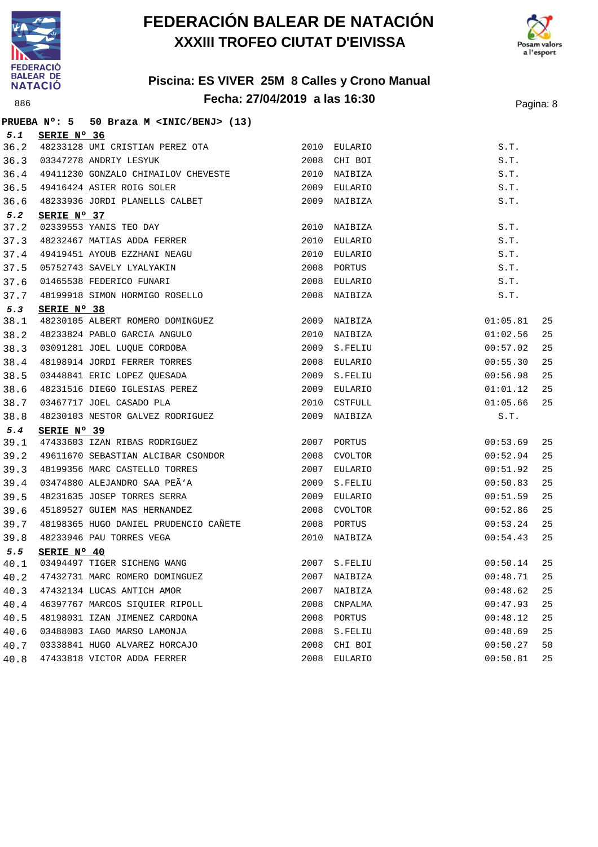



#### **Piscina: ES VIVER 25M 8 Calles y Crono Manual Fecha: 27/04/2019 a las 16:30** Pagina: 8

**PRUEBA Nº: 5 50 Braza M <INIC/BENJ> (13) 5.1 SERIE Nº 36** 36.2 48233128 UMI CRISTIAN PEREZ OTA 2010 EULARIO S.T. 36.3 03347278 ANDRIY LESYUK 2008 CHI BOI S.T. 36.4 49411230 GONZALO CHIMAILOV CHEVESTE 2010 NAIBIZA S.T. 36.5 49416424 ASIER ROIG SOLER 2009 EULARIO S.T. 36.6 48233936 JORDI PLANELLS CALBET 2009 NAIBIZA S.T. **5.2 SERIE Nº 37** 37.2 02339553 YANIS TEO DAY 2010 NAIBIZA S.T. 37.3 48232467 MATIAS ADDA FERRER 2010 EULARIO S.T. 37.4 49419451 AYOUB EZZHANI NEAGU 2010 EULARIO S.T. 37.5 05752743 SAVELY LYALYAKIN 2008 PORTUS S.T. 37.6 01465538 FEDERICO FUNARI 2008 EULARIO S.T. 37.7 48199918 SIMON HORMIGO ROSELLO 2008 NAIBIZA S.T. **5.3 SERIE Nº 38** 38.1 48230105 ALBERT ROMERO DOMINGUEZ 2009 NAIBIZA 01:05.81 25 38.2 48233824 PABLO GARCIA ANGULO 2010 NAIBIZA 01:02.56 25 38.3 03091281 JOEL LUQUE CORDOBA 2009 S.FELIU 00:57.02 25 38.4 48198914 JORDI FERRER TORRES 2008 EULARIO 00:55.30 25 38.5 03448841 ERIC LOPEZ QUESADA 2009 S.FELIU 00:56.98 25 38.6 48231516 DIEGO IGLESIAS PEREZ 2009 EULARIO 01:01.12 25 38.7 03467717 JOEL CASADO PLA 2010 CSTFULL 01:05.66 25 38.8 48230103 NESTOR GALVEZ RODRIGUEZ 2009 NAIBIZA S.T. **5.4 SERIE Nº 39** 39.1 47433603 IZAN RIBAS RODRIGUEZ 2007 PORTUS 00:53.69 25 39.2 49611670 SEBASTIAN ALCIBAR CSONDOR 2008 CVOLTOR 00:52.94 25 39.3 48199356 MARC CASTELLO TORRES 2007 EULARIO 00:51.92 25 39.4 03474880 ALEJANDRO SAA PEÃ'A 2009 S.FELIU 2009 S. 25 39.5 48231635 JOSEP TORRES SERRA 2009 EULARIO 00:51.59 25 39.6 45189527 GUIEM MAS HERNANDEZ 2008 CVOLTOR 00:52.86 25 39.7 48198365 HUGO DANIEL PRUDENCIO CAÑETE 2008 PORTUS 00:53.24 25 39.8 48233946 PAU TORRES VEGA 2010 NAIBIZA 00:54.43 25 **5.5 SERIE Nº 40** 40.1 03494497 TIGER SICHENG WANG 2007 S.FELIU 00:50.14 25 40.2 47432731 MARC ROMERO DOMINGUEZ 2007 NAIBIZA 00:48.71 25 40.3 47432134 LUCAS ANTICH AMOR 2007 NAIBIZA 00:48.62 25 40.4 46397767 MARCOS SIQUIER RIPOLL 2008 CNPALMA 00:47.93 25 40.5 48198031 IZAN JIMENEZ CARDONA 2008 PORTUS 00:48.12 25 40.6 03488003 IAGO MARSO LAMONJA 2008 S.FELIU 00:48.69 25 40.7 03338841 HUGO ALVAREZ HORCAJO 2008 CHI BOI 00:50.27 50 40.8 47433818 VICTOR ADDA FERRER 2008 EULARIO 00:50.81 25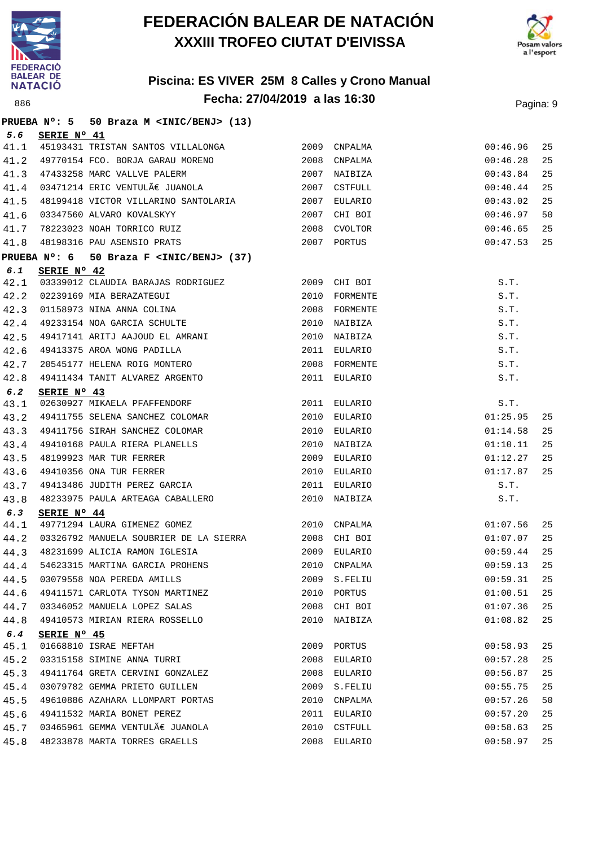



|      |                      | PRUEBA Nº: 5 50 Braza M <inic benj=""> (13)</inic>                                                             |      |               |             |    |
|------|----------------------|----------------------------------------------------------------------------------------------------------------|------|---------------|-------------|----|
| 5.6  | SERIE Nº 41          |                                                                                                                |      |               |             |    |
| 41.1 |                      | 45193431 TRISTAN SANTOS VILLALONGA 2009 CNPALMA                                                                |      |               | 00:46.96    | 25 |
| 41.2 |                      | 49770154 FCO. BORJA GARAU MORENO 2008                                                                          |      | CNPALMA       | 00:46.28    | 25 |
| 41.3 |                      | 47433258 MARC VALLVE PALERM                                                                                    |      | 2007 NAIBIZA  | 00:43.84    | 25 |
| 41.4 |                      | $03471214$ ERIC VENTULÃE JUANOLA                                                                               |      | 2007 CSTFULL  | 00:40.44    | 25 |
| 41.5 |                      |                                                                                                                |      |               | 00:43.02    | 25 |
| 41.6 |                      | 03347560 ALVARO KOVALSKYY<br>78223023 NOAH TORRICO RUIZ                                                        | 2007 | CHI BOI       | 00:46.97    | 50 |
| 41.7 |                      |                                                                                                                | 2008 | CVOLTOR       | 00:46.65    | 25 |
| 41.8 |                      | 48198316 PAU ASENSIO PRATS 2007 PORTUS                                                                         |      |               | 00:47.53    | 25 |
|      | PRUEBA $N^\circ$ : 6 | 50 Braza F <inic benj=""> (37)</inic>                                                                          |      |               |             |    |
| 6.1  | SERIE Nº 42          |                                                                                                                |      |               |             |    |
| 42.1 |                      | 03339012 CLAUDIA BARAJAS RODRIGUEZ 2009 CHI BOI                                                                |      |               | S.T.        |    |
| 42.2 |                      | 02239169 MIA BERAZATEGUI<br>01158973 NINA ANNA COLINA<br>49233154 NOA GARCIA SCHULTE<br>49417141 ARITI - - - - |      | 2010 FORMENTE | S.T.        |    |
| 42.3 |                      |                                                                                                                |      | 2008 FORMENTE | S.T.        |    |
| 42.4 |                      |                                                                                                                |      | 2010 NAIBIZA  | S.T.        |    |
| 42.5 |                      | 49417141 ARITJ AAJOUD EL AMRANI                                                                                |      | 2010 NAIBIZA  | S.T.        |    |
| 42.6 |                      |                                                                                                                |      | 2011 EULARIO  | S.T.        |    |
| 42.7 |                      | 49417141 ANII AROU<br>49413375 AROA WONG PADILLA<br>20545177 HELENA ROIG MONTERO                               |      | 2008 FORMENTE | S.T.        |    |
| 42.8 |                      | 49411434 TANIT ALVAREZ ARGENTO                                                                                 |      | 2011 EULARIO  | S.T.        |    |
| 6.2  | SERIE Nº 43          |                                                                                                                |      |               |             |    |
| 43.1 |                      | 02630927 MIKAELA PFAFFENDORF                                                                                   |      | 2011 EULARIO  | S.T.        |    |
| 43.2 |                      | 49411755 SELENA SANCHEZ COLOMAR                                                                                |      | 2010 EULARIO  | 01:25.95    | 25 |
| 43.3 |                      | 49411756 SIRAH SANCHEZ COLOMAR                                                                                 |      | 2010 EULARIO  | 01:14.58    | 25 |
| 43.4 |                      | 49410168 PAULA RIERA PLANELLS                                                                                  |      | 2010 NAIBIZA  | 01:10.11    | 25 |
| 43.5 |                      | 49410166 FAULA ATHLETIC SHOPPOOR<br>49410356 ONA TUR FERRER<br>49413486 JUDITH PEREZ GARCIA                    |      | 2009 EULARIO  | 01:12.27    | 25 |
| 43.6 |                      |                                                                                                                |      | 2010 EULARIO  | 01:17.87    | 25 |
| 43.7 |                      |                                                                                                                |      | 2011 EULARIO  | S.T.        |    |
| 43.8 |                      | 48233975 PAULA ARTEAGA CABALLERO                                                                               |      | 2010 NAIBIZA  | S.T.        |    |
| 6.3  | SERIE Nº 44          |                                                                                                                |      |               |             |    |
| 44.1 |                      | 49771294 LAURA GIMENEZ GOMEZ 2010 CNPALMA                                                                      |      |               | 01:07.56    | 25 |
| 44.2 |                      | 03326792 MANUELA SOUBRIER DE LA SIERRA 2008 CHI BOI                                                            |      |               | 01:07.07    | 25 |
| 44.3 |                      | 48231699 ALICIA RAMON IGLESIA 2009 EULARIO                                                                     |      |               | 00:59.44    | 25 |
| 44.4 |                      | 54623315 MARTINA GARCIA PROHENS                                                                                |      | 2010 CNPALMA  | 00:59.13 25 |    |
| 44.5 |                      | 03079558 NOA PEREDA AMILLS                                                                                     |      | 2009 S.FELIU  | 00:59.31    | 25 |
| 44.6 |                      | 49411571 CARLOTA TYSON MARTINEZ                                                                                |      | 2010 PORTUS   | 01:00.51    | 25 |
| 44.7 |                      | 03346052 MANUELA LOPEZ SALAS                                                                                   |      | 2008 CHI BOI  | 01:07.36    | 25 |
| 44.8 |                      | 49410573 MIRIAN RIERA ROSSELLO                                                                                 |      | 2010 NAIBIZA  | 01:08.82    | 25 |
| 6.4  | SERIE Nº 45          |                                                                                                                |      |               |             |    |
| 45.1 |                      | 01668810 ISRAE MEFTAH                                                                                          | 2009 | PORTUS        | 00:58.93    | 25 |
| 45.2 |                      | 03315158 SIMINE ANNA TURRI                                                                                     |      | 2008 EULARIO  | 00:57.28    | 25 |
| 45.3 |                      | 49411764 GRETA CERVINI GONZALEZ                                                                                |      | 2008 EULARIO  | 00:56.87    | 25 |
| 45.4 |                      | 03079782 GEMMA PRIETO GUILLEN                                                                                  | 2009 | S.FELIU       | 00:55.75    | 25 |
| 45.5 |                      | 49610886 AZAHARA LLOMPART PORTAS                                                                               |      | 2010 CNPALMA  | 00:57.26    | 50 |
| 45.6 |                      | 49411532 MARIA BONET PEREZ                                                                                     |      | 2011 EULARIO  | 00:57.20    | 25 |
| 45.7 |                      | 03465961 GEMMA VENTULÀ JUANOLA                                                                                 | 2010 | CSTFULL       | 00:58.63    | 25 |
| 45.8 |                      | 48233878 MARTA TORRES GRAELLS                                                                                  | 2008 | EULARIO       | 00:58.97    | 25 |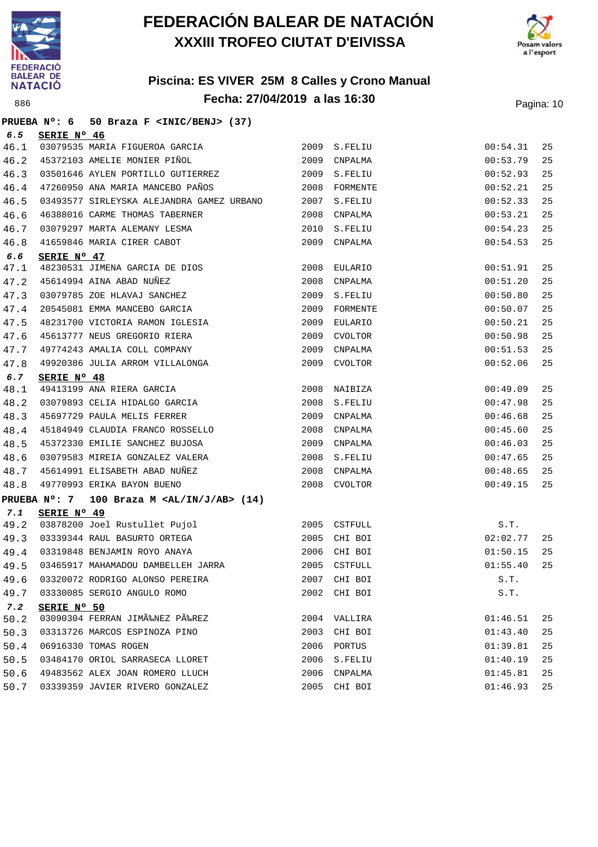



#### **Piscina: ES VIVER 25M 8 Calles y Crono Manual Fecha: 27/04/2019 a las 16:30** Pagina: 10

**PRUEBA Nº: 6 50 Braza F <INIC/BENJ> (37) 6.5 SERIE Nº 46** 46.1 03079535 MARIA FIGUEROA GARCIA 2009 S.FELIU 00:54.31 25 46.2 45372103 AMELIE MONIER PIÑOL 2009 CNPALMA 00:53.79 25 46.3 03501646 AYLEN PORTILLO GUTIERREZ 2009 S.FELIU 00:52.93 25 46.4 47260950 ANA MARIA MANCEBO PAÑOS 2008 FORMENTE 00:52.21 25 46.5 03493577 SIRLEYSKA ALEJANDRA GAMEZ URBANO 2007 S.FELIU 00:52.33 25 46.6 46388016 CARME THOMAS TABERNER 2008 CNPALMA 00:53.21 25 46.7 03079297 MARTA ALEMANY LESMA 2010 S.FELIU 00:54.23 25 46.8 41659846 MARIA CIRER CABOT 2009 CNPALMA 00:54.53 25 **6.6 SERIE Nº 47** 47.1 48230531 JIMENA GARCIA DE DIOS 2008 EULARIO 00:51.91 25 47.2 45614994 AINA ABAD NUÑEZ 2008 CNPALMA 00:51.20 25 47.3 03079785 ZOE HLAVAJ SANCHEZ 2009 S.FELIU 00:50.80 25 47.4 20545081 EMMA MANCEBO GARCIA 2009 FORMENTE 00:50.07 25 47.5 48231700 VICTORIA RAMON IGLESIA 2009 EULARIO 00:50.21 25 47.6 45613777 NEUS GREGORIO RIERA 2009 CVOLTOR 00:50.98 25 47.7 49774243 AMALIA COLL COMPANY 2009 CNPALMA 00:51.53 25 47.8 49920386 JULIA ARROM VILLALONGA 2009 CVOLTOR 00:52.06 25 **6.7 SERIE Nº 48** 48.1 49413199 ANA RIERA GARCIA 2008 NAIBIZA 00:49.09 25 48.2 03079893 CELIA HIDALGO GARCIA 2008 S.FELIU 00:47.98 25 48.3 45697729 PAULA MELIS FERRER 2009 CNPALMA 00:46.68 25 48.4 45184949 CLAUDIA FRANCO ROSSELLO 2008 CNPALMA 00:45.60 25 48.5 45372330 EMILIE SANCHEZ BUJOSA 2009 CNPALMA 00:46.03 25 48.6 03079583 MIREIA GONZALEZ VALERA 2008 S.FELIU 00:47.65 25 48.7 45614991 ELISABETH ABAD NUÑEZ 2008 CNPALMA 00:48.65 25 48.8 49770993 ERIKA BAYON BUENO 2008 CVOLTOR 00:49.15 25 **PRUEBA Nº: 7 100 Braza M <AL/IN/J/AB> (14) 7.1 SERIE Nº 49** 49.2 03878200 Joel Rustullet Pujol 2005 CSTFULL S.T. 49.3 03339344 RAUL BASURTO ORTEGA 2005 CHI BOI 02:02.77 25 49.4 03319848 BENJAMIN ROYO ANAYA 2006 CHI BOI 01:50.15 25 49.5 03465917 MAHAMADOU DAMBELLEH JARRA 2005 CSTFULL 01:55.40 25 49.6 03320072 RODRIGO ALONSO PEREIRA 2007 CHI BOI S.T. 49.7 03330085 SERGIO ANGULO ROMO 2002 CHI BOI S.T. **7.2 SERIE Nº 50** 50.2 03090304 FERRAN JIMÉNEZ PÉREZ 2004 VALLIRA 250.2 01:46.51 25 50.3 03313726 MARCOS ESPINOZA PINO 2003 CHI BOI 01:43.40 25 50.4 06916330 TOMAS ROGEN 2006 PORTUS 01:39.81 25 50.5 03484170 ORIOL SARRASECA LLORET 2006 S.FELIU 01:40.19 25 50.6 49483562 ALEX JOAN ROMERO LLUCH 2006 CNPALMA 01:45.81 25 50.7 03339359 JAVIER RIVERO GONZALEZ 2005 CHI BOI 01:46.93 25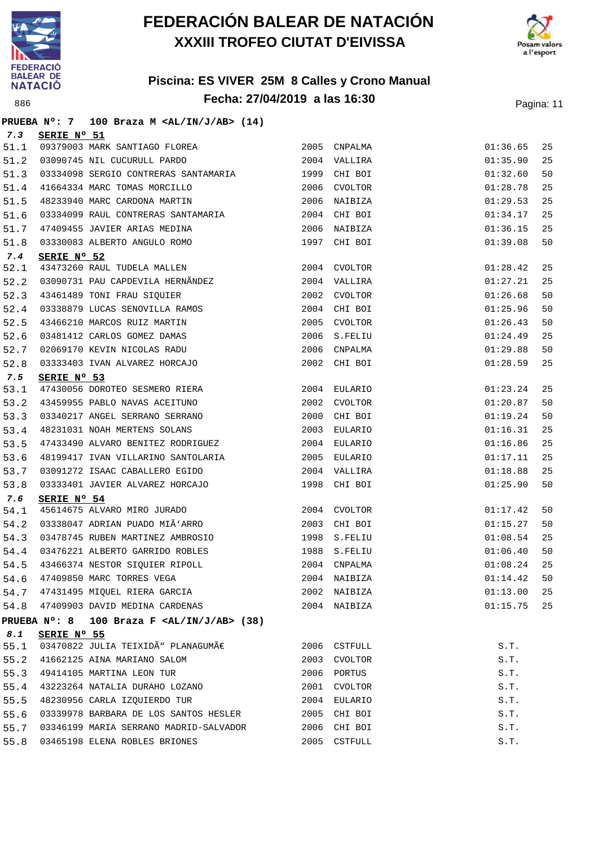



|             |             | PRUEBA Nº: 7 100 Braza M <al ab="" in="" j=""> (14)</al>                                    |      |              |          |    |
|-------------|-------------|---------------------------------------------------------------------------------------------|------|--------------|----------|----|
| 7.3         | SERIE Nº 51 |                                                                                             |      |              |          |    |
| 51.1        |             | 09379003 MARK SANTIAGO FLOREA                                                               |      | 2005 CNPALMA | 01:36.65 | 25 |
| 51.2        |             | 03090745 NIL CUCURULL PARDO                                                                 |      | 2004 VALLIRA | 01:35.90 | 25 |
| 51.3        |             | 03334098 SERGIO CONTRERAS SANTAMARIA 1999                                                   |      | CHI BOI      | 01:32.60 | 50 |
| 51.4        |             | 41664334 MARC TOMAS MORCILLO<br>48233940 MARC CARDONA MARTIN 2006 NAIBIZA                   |      |              | 01:28.78 | 25 |
| 51.5        |             |                                                                                             |      |              | 01:29.53 | 25 |
| 51.6        |             | 03334099 RAUL CONTRERAS SANTAMARIA                                                          |      | 2004 CHI BOI | 01:34.17 | 25 |
| 51.7        |             | 47409455 JAVIER ARIAS MEDINA<br>03330083 ALBERTO ANGULO ROMO                                |      | 2006 NAIBIZA | 01:36.15 | 25 |
| 51.8        |             |                                                                                             |      | 1997 CHI BOI | 01:39.08 | 50 |
| 7.4         | SERIE Nº 52 |                                                                                             |      |              |          |    |
| 52.1        |             | 43473260 RAUL TUDELA MALLEN 2004 CVOLTOR                                                    |      |              | 01:28.42 | 25 |
| 52.2        |             | 03090731 PAU CAPDEVILA HERNÃNDEZ $2004$ VALLIRA                                             |      |              | 01:27.21 | 25 |
| 52.3        |             |                                                                                             |      | 2002 CVOLTOR | 01:26.68 | 50 |
| 52.4        |             |                                                                                             |      | 2004 CHI BOI | 01:25.96 | 50 |
| 52.5        |             | 43461489 TONI FRAU SIQUIER<br>03338879 LUCAS SENOVILLA RAMOS<br>43466210 MARCOS RUIZ MARTIN |      | 2005 CVOLTOR | 01:26.43 | 50 |
| 52.6        |             | 03481412 CARLOS GOMEZ DAMAS                                                                 | 2006 | S.FELIU      | 01:24.49 | 25 |
| 52.7        |             | 02069170 KEVIN NICOLAS RADU                                                                 | 2006 | CNPALMA      | 01:29.88 | 50 |
| 52.8        |             | 03333403 IVAN ALVAREZ HORCAJO                                                               |      | 2002 CHI BOI | 01:28.59 | 25 |
| 7.5         | SERIE Nº 53 |                                                                                             |      |              |          |    |
| 53.1        |             | 47430056 DOROTEO SESMERO RIERA                                                              |      | 2004 EULARIO | 01:23.24 | 25 |
| 53.2        |             | 43459955 PABLO NAVAS ACEITUNO                                                               |      | 2002 CVOLTOR | 01:20.87 | 50 |
| 53.3        |             | 03340217 ANGEL SERRANO SERRANO                                                              |      | 2000 CHI BOI | 01:19.24 | 50 |
| 53.4        |             | 48231031 NOAH MERTENS SOLANS                                                                |      | 2003 EULARIO | 01:16.31 | 25 |
| 53.5        |             | 47433490 ALVARO BENITEZ RODRIGUEZ                                                           |      | 2004 EULARIO | 01:16.86 | 25 |
| 53.6        |             | 48199417 IVAN VILLARINO SANTOLARIA                                                          |      | 2005 EULARIO | 01:17.11 | 25 |
| 53.7        |             | 03091272 ISAAC CABALLERO EGIDO                                                              |      | 2004 VALLIRA | 01:18.88 | 25 |
| 53.8        |             | 03333401 JAVIER ALVAREZ HORCAJO                                                             |      | 1998 CHI BOI | 01:25.90 | 50 |
| 7.6         | SERIE Nº 54 |                                                                                             |      |              |          |    |
| 54.1        |             | 45614675 ALVARO MIRO JURADO 2004 CVOLTOR<br>03338047 ADRIAN PUADO MIÃ'ARRO                  |      |              | 01:17.42 | 50 |
| 54.2        |             |                                                                                             |      | 2003 CHI BOI | 01:15.27 | 50 |
| 54.3        |             | 03478745 RUBEN MARTINEZ AMBROSIO                                                            |      | 1998 S.FELIU | 01:08.54 | 25 |
| 54.4        |             | 03476221 ALBERTO GARRIDO ROBLES<br>43466374 NESTOR SIQUIER RIPOLL 2004 CNPALMA              |      | 1988 S.FELIU | 01:06.40 | 50 |
| 54.5        |             |                                                                                             |      |              | 01:08.24 | 25 |
|             |             | 54.6 47409850 MARC TORRES VEGA                                                              |      | 2004 NAIBIZA | 01:14.42 | 50 |
|             |             | 54.7 47431495 MIQUEL RIERA GARCIA                                                           |      | 2002 NAIBIZA | 01:13.00 | 25 |
|             |             | 54.8 47409903 DAVID MEDINA CARDENAS                                                         |      | 2004 NAIBIZA | 01:15.75 | 25 |
|             |             | PRUEBA $N^{\circ}$ : 8 100 Braza F <al ab="" in="" j=""> (38)</al>                          |      |              |          |    |
| 8.1<br>55.1 | SERIE Nº 55 | 03470822 JULIA TEIXIDÙ PLANAGUMÀ                                                            |      | 2006 CSTFULL | S.T.     |    |
| 55.2        |             | 41662125 AINA MARIANO SALOM                                                                 |      | 2003 CVOLTOR | S.T.     |    |
| 55.3        |             | 49414105 MARTINA LEON TUR                                                                   |      | 2006 PORTUS  | S.T.     |    |
| 55.4        |             | 43223264 NATALIA DURAHO LOZANO                                                              |      | 2001 CVOLTOR | S.T.     |    |
| 55.5        |             | 48230956 CARLA IZQUIERDO TUR                                                                |      | 2004 EULARIO | S.T.     |    |
| 55.6        |             | 03339978 BARBARA DE LOS SANTOS HESLER                                                       |      | 2005 CHI BOI | S.T.     |    |
| 55.7        |             | 03346199 MARIA SERRANO MADRID-SALVADOR                                                      | 2006 | CHI BOI      | S.T.     |    |
| 55.8        |             | 03465198 ELENA ROBLES BRIONES                                                               | 2005 | CSTFULL      | S.T.     |    |
|             |             |                                                                                             |      |              |          |    |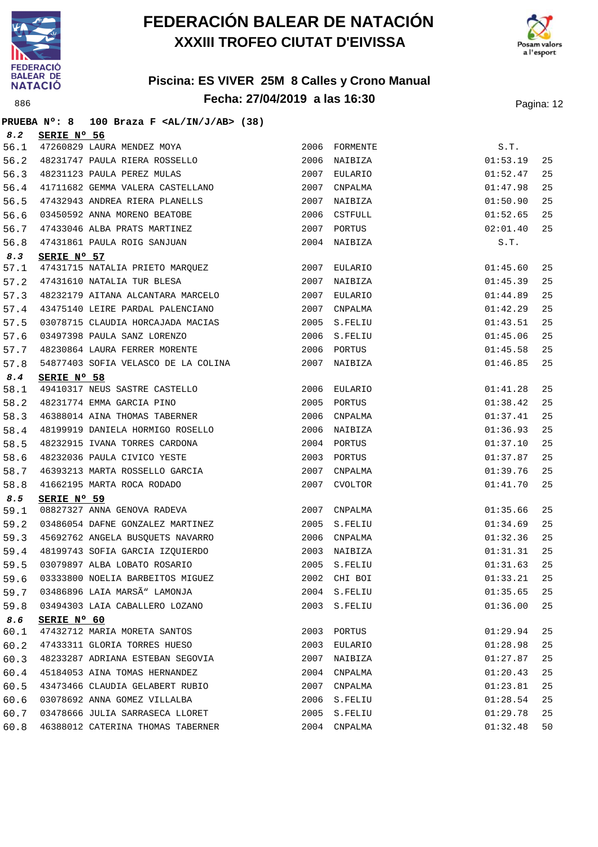

**PRUEBA Nº: 8 100 Braza F <AL/IN/J/AB> (38)**

## **FEDERACIÓN BALEAR DE NATACIÓN XXXIII TROFEO CIUTAT D'EIVISSA**





| 8.2         | SERIE Nº 56                                                          |      |                              |          |    |
|-------------|----------------------------------------------------------------------|------|------------------------------|----------|----|
| 56.1        | 47260829 LAURA MENDEZ MOYA                                           |      | 2006 FORMENTE                | S.T.     |    |
| 56.2        | 48231747 PAULA RIERA ROSSELLO                                        | 2006 | NAIBIZA                      | 01:53.19 | 25 |
| 56.3        | 48231123 PAULA PEREZ MULAS                                           |      | 2007 EULARIO                 | 01:52.47 | 25 |
| 56.4        | 41711682 GEMMA VALERA CASTELLANO                                     | 2007 | CNPALMA                      | 01:47.98 | 25 |
| 56.5        | 47432943 ANDREA RIERA PLANELLS                                       | 2007 | NAIBIZA                      | 01:50.90 | 25 |
| 56.6        | 03450592 ANNA MORENO BEATOBE<br>47433046 ALBA PRATS MARTINEZ         | 2006 | CSTFULL                      | 01:52.65 | 25 |
| 56.7        |                                                                      | 2007 | PORTUS                       | 02:01.40 | 25 |
| 56.8        | 47431861 PAULA ROIG SANJUAN                                          | 2004 | NAIBIZA                      | S.T.     |    |
| 8.3         | SERIE Nº 57                                                          |      |                              |          |    |
| 57.1        | 47431715 NATALIA PRIETO MARQUEZ                                      | 2007 | EULARIO                      | 01:45.60 | 25 |
| 57.2        | 47431610 NATALIA TUR BLESA                                           | 2007 | NAIBIZA                      | 01:45.39 | 25 |
| 57.3        | 48232179 AITANA ALCANTARA MARCELO                                    | 2007 | EULARIO                      | 01:44.89 | 25 |
| 57.4        | 43475140 LEIRE PARDAL PALENCIANO                                     |      | 2007 CNPALMA                 | 01:42.29 | 25 |
| 57.5        | 03078715 CLAUDIA HORCAJADA MACIAS                                    |      | 2005 S.FELIU                 | 01:43.51 | 25 |
| 57.6        | 03497398 PAULA SANZ LORENZO                                          |      | 2006 S.FELIU                 | 01:45.06 | 25 |
| 57.7        | 48230864 LAURA FERRER MORENTE                                        |      | 2006 PORTUS                  | 01:45.58 | 25 |
| 57.8        | 54877403 SOFIA VELASCO DE LA COLINA                                  | 2007 | NAIBIZA                      | 01:46.85 | 25 |
| 8.4         | SERIE Nº 58                                                          |      |                              |          |    |
| 58.1        | 49410317 NEUS SASTRE CASTELLO<br>48231774 EMMA GARCIA PINO           |      | 2006 EULARIO                 | 01:41.28 | 25 |
| 58.2        |                                                                      |      | 2005 PORTUS                  | 01:38.42 | 25 |
| 58.3        | 46388014 AINA THOMAS TABERNER                                        | 2006 | CNPALMA                      | 01:37.41 | 25 |
| 58.4        | 48199919 DANIELA HORMIGO ROSELLO                                     | 2006 | NAIBIZA                      | 01:36.93 | 25 |
| 58.5        | 48232915 IVANA TORRES CARDONA<br>48232036 PAULA CIVICO YESTE         |      | 2004 PORTUS                  | 01:37.10 | 25 |
| 58.6        |                                                                      |      | 2003 PORTUS                  | 01:37.87 | 25 |
| 58.7        | 46393213 MARTA ROSSELLO GARCIA                                       | 2007 | CNPALMA                      | 01:39.76 | 25 |
| 58.8        | 41662195 MARTA ROCA RODADO                                           | 2007 | CVOLTOR                      | 01:41.70 | 25 |
| 8.5<br>59.1 | SERIE Nº 59<br>08827327 ANNA GENOVA RADEVA                           |      |                              |          | 25 |
|             |                                                                      |      | 2007 CNPALMA                 | 01:35.66 | 25 |
| 59.2        | 03486054 DAFNE GONZALEZ MARTINEZ<br>45692762 ANGELA BUSQUETS NAVARRO |      | 2005 S.FELIU<br>2006 CNPALMA | 01:34.69 | 25 |
| 59.3        | 48199743 SOFIA GARCIA IZQUIERDO                                      |      |                              | 01:32.36 |    |
| 59.4        |                                                                      |      | 2003 NAIBIZA                 | 01:31.31 | 25 |
| 59.5        | 03079897 ALBA LOBATO ROSARIO                                         |      | 2005 S.FELIU                 | 01:31.63 | 25 |
| 59.6        | 03333800 NOELIA BARBEITOS MIGUEZ<br>03486896 LAIA MARSÃ" LAMONJA     |      | 2002 CHI BOI                 | 01:33.21 | 25 |
| 59.7        |                                                                      |      | 2004 S.FELIU                 | 01:35.65 | 25 |
| 59.8        | 03494303 LAIA CABALLERO LOZANO                                       |      | 2003 S.FELIU                 | 01:36.00 | 25 |
| 8.6<br>60.1 | SERIE Nº 60<br>47432712 MARIA MORETA SANTOS                          |      | 2003 PORTUS                  | 01:29.94 | 25 |
| 60.2        | 47433311 GLORIA TORRES HUESO                                         | 2003 | EULARIO                      | 01:28.98 | 25 |
| 60.3        | 48233287 ADRIANA ESTEBAN SEGOVIA                                     | 2007 | NAIBIZA                      | 01:27.87 | 25 |
| 60.4        | 45184053 AINA TOMAS HERNANDEZ                                        | 2004 | CNPALMA                      | 01:20.43 | 25 |
| 60.5        | 43473466 CLAUDIA GELABERT RUBIO                                      | 2007 | CNPALMA                      | 01:23.81 | 25 |
| 60.6        | 03078692 ANNA GOMEZ VILLALBA                                         |      | 2006 S.FELIU                 | 01:28.54 | 25 |
| 60.7        | 03478666 JULIA SARRASECA LLORET                                      |      | 2005 S.FELIU                 | 01:29.78 | 25 |
| 60.8        | 46388012 CATERINA THOMAS TABERNER                                    |      | 2004 CNPALMA                 | 01:32.48 | 50 |
|             |                                                                      |      |                              |          |    |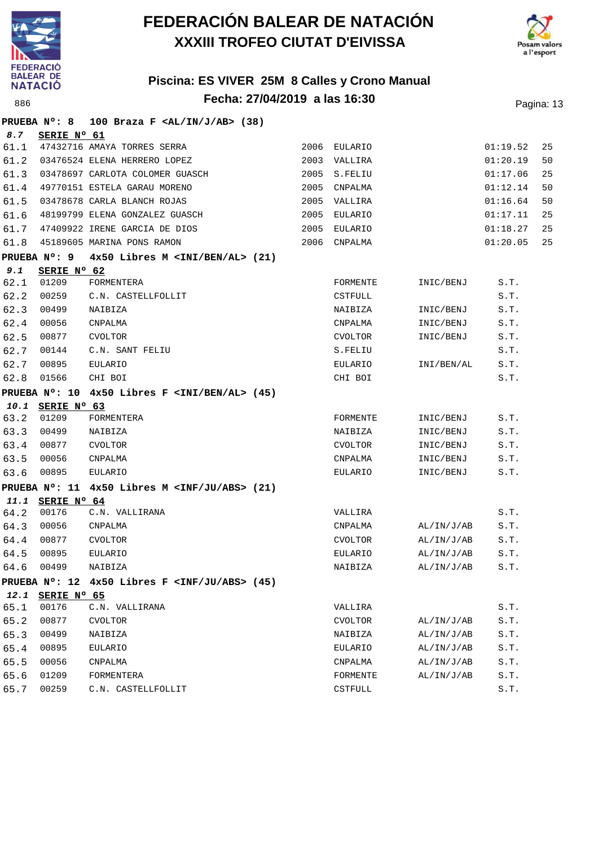



|      | PRUEBA Nº: 8     | 100 Braza F $\langle \text{AL}/\text{IN}/\text{J}/\text{AB}\rangle$ (38) |      |                |            |          |    |
|------|------------------|--------------------------------------------------------------------------|------|----------------|------------|----------|----|
| 8.7  | SERIE Nº 61      |                                                                          |      |                |            |          |    |
| 61.1 |                  | 47432716 AMAYA TORRES SERRA                                              |      | 2006 EULARIO   |            | 01:19.52 | 25 |
| 61.2 |                  | 03476524 ELENA HERRERO LOPEZ                                             | 2003 | VALLIRA        |            | 01:20.19 | 50 |
| 61.3 |                  | 03478697 CARLOTA COLOMER GUASCH                                          | 2005 | S.FELIU        |            | 01:17.06 | 25 |
| 61.4 |                  | 49770151 ESTELA GARAU MORENO                                             | 2005 | CNPALMA        |            | 01:12.14 | 50 |
| 61.5 |                  | 03478678 CARLA BLANCH ROJAS                                              | 2005 | VALLIRA        |            | 01:16.64 | 50 |
| 61.6 |                  | 48199799 ELENA GONZALEZ GUASCH                                           | 2005 | EULARIO        |            | 01:17.11 | 25 |
| 61.7 |                  | 47409922 IRENE GARCIA DE DIOS                                            | 2005 | EULARIO        |            | 01:18.27 | 25 |
| 61.8 |                  | 45189605 MARINA PONS RAMON                                               |      | 2006 CNPALMA   |            | 01:20.05 | 25 |
|      | PRUEBA N°: 9     | $4x50$ Libres M $\langle$ INI/BEN/AL> (21)                               |      |                |            |          |    |
| 9.1  | SERIE Nº 62      |                                                                          |      |                |            |          |    |
| 62.1 | 01209            | FORMENTERA                                                               |      | FORMENTE       | INIC/BENJ  | S.T.     |    |
| 62.2 | 00259            | C.N. CASTELLFOLLIT                                                       |      | <b>CSTFULL</b> |            | S.T.     |    |
| 62.3 | 00499            | NAIBIZA                                                                  |      | NAIBIZA        | INIC/BENJ  | S.T.     |    |
| 62.4 | 00056            | CNPALMA                                                                  |      | CNPALMA        | INIC/BENJ  | S.T.     |    |
| 62.5 | 00877            | <b>CVOLTOR</b>                                                           |      | CVOLTOR        | INIC/BENJ  | S.T.     |    |
| 62.7 | 00144            | C.N. SANT FELIU                                                          |      | S.FELIU        |            | S.T.     |    |
| 62.7 | 00895            | <b>EULARIO</b>                                                           |      | EULARIO        | INI/BEN/AL | S.T.     |    |
| 62.8 | 01566            | CHI BOI                                                                  |      | CHI BOI        |            | S.T.     |    |
|      |                  | PRUEBA Nº: 10 4x50 Libres F <ini al="" ben=""> (45)</ini>                |      |                |            |          |    |
|      | 10.1 SERIE Nº 63 |                                                                          |      |                |            |          |    |
| 63.2 | 01209            | FORMENTERA                                                               |      | FORMENTE       | INIC/BENJ  | S.T.     |    |
| 63.3 | 00499            | NAIBIZA                                                                  |      | NAIBIZA        | INIC/BENJ  | S.T.     |    |
| 63.4 | 00877            | <b>CVOLTOR</b>                                                           |      | CVOLTOR        | INIC/BENJ  | S.T.     |    |
| 63.5 | 00056            | CNPALMA                                                                  |      | CNPALMA        | INIC/BENJ  | S.T.     |    |
| 63.6 | 00895            | EULARIO                                                                  |      | EULARIO        | INIC/BENJ  | S.T.     |    |
|      |                  | PRUEBA $N^{\circ}$ : 11 $4x50$ Libres M <inf abs="" ju=""> (21)</inf>    |      |                |            |          |    |
|      | 11.1 SERIE N° 64 |                                                                          |      |                |            |          |    |
| 64.2 | 00176            | C.N. VALLIRANA                                                           |      | VALLIRA        |            | S.T.     |    |
| 64.3 | 00056            | CNPALMA                                                                  |      | CNPALMA        | AL/IN/J/AB | S.T.     |    |
| 64.4 | 00877            | <b>CVOLTOR</b>                                                           |      | CVOLTOR        | AL/IN/J/AB | S.T.     |    |
| 64.5 | 00895            | EULARIO                                                                  |      | EULARIO        | AL/IN/J/AB | S.T.     |    |
| 64.6 | 00499            | NAIBIZA                                                                  |      | NAIBIZA        | AL/IN/J/AB | S.T.     |    |
|      |                  | PRUEBA $N^{\circ}$ : 12 4x50 Libres F <inf abs="" ju=""> (45)</inf>      |      |                |            |          |    |
|      | 12.1 SERIE Nº 65 |                                                                          |      |                |            |          |    |
| 65.1 | 00176            | C.N. VALLIRANA                                                           |      | VALLIRA        |            | S.T.     |    |
| 65.2 | 00877            | <b>CVOLTOR</b>                                                           |      | <b>CVOLTOR</b> | AL/IN/J/AB | S.T.     |    |
| 65.3 | 00499            | NAIBIZA                                                                  |      | NAIBIZA        | AL/IN/J/AB | S.T.     |    |
| 65.4 | 00895            | EULARIO                                                                  |      | EULARIO        | AL/IN/J/AB | S.T.     |    |
| 65.5 | 00056            | CNPALMA                                                                  |      | CNPALMA        | AL/IN/J/AB | S.T.     |    |
| 65.6 | 01209            | FORMENTERA                                                               |      | FORMENTE       | AL/IN/J/AB | S.T.     |    |
| 65.7 | 00259            | C.N. CASTELLFOLLIT                                                       |      | CSTFULL        |            | S.T.     |    |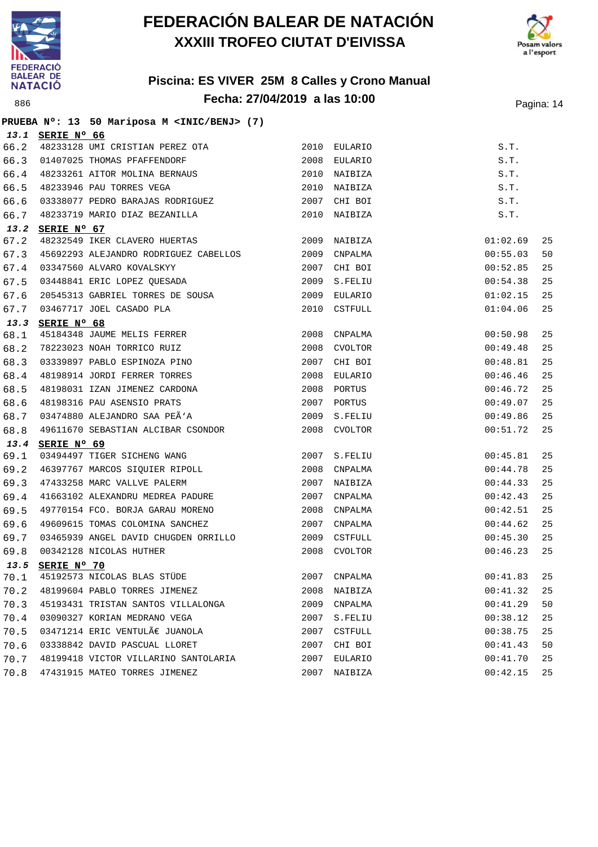



#### **Piscina: ES VIVER 25M 8 Calles y Crono Manual Fecha: 27/04/2019 a las 10:00** Pagina: 14

**PRUEBA Nº: 13 50 Mariposa M <INIC/BENJ> (7) 13.1 SERIE Nº 66** 66.2 48233128 UMI CRISTIAN PEREZ OTA 2010 EULARIO S.T. 66.3 01407025 THOMAS PFAFFENDORF 2008 EULARIO S.T. 66.4 48233261 AITOR MOLINA BERNAUS 2010 NAIBIZA S.T. 66.5 48233946 PAU TORRES VEGA 2010 NAIBIZA S.T. 66.6 03338077 PEDRO BARAJAS RODRIGUEZ 2007 CHI BOI S.T. 66.7 48233719 MARIO DIAZ BEZANILLA 2010 NAIBIZA S.T. **13.2 SERIE Nº 67** 67.2 48232549 IKER CLAVERO HUERTAS 2009 NAIBIZA 01:02.69 25 67.3 45692293 ALEJANDRO RODRIGUEZ CABELLOS 2009 CNPALMA 00:55.03 50 67.4 03347560 ALVARO KOVALSKYY 2007 CHI BOI 00:52.85 25 67.5 03448841 ERIC LOPEZ QUESADA 2009 S.FELIU 00:54.38 25 67.6 20545313 GABRIEL TORRES DE SOUSA 2009 EULARIO 01:02.15 25 67.7 03467717 JOEL CASADO PLA 2010 CSTFULL 01:04.06 25 **13.3 SERIE Nº 68** 68.1 45184348 JAUME MELIS FERRER 2008 CNPALMA 00:50.98 25 68.2 78223023 NOAH TORRICO RUIZ 2008 CVOLTOR 00:49.48 25 68.3 03339897 PABLO ESPINOZA PINO 2007 CHI BOI 00:48.81 25 68.4 48198914 JORDI FERRER TORRES 2008 EULARIO 00:46.46 25 68.5 48198031 IZAN JIMENEZ CARDONA 2008 PORTUS 00:46.72 25 68.6 48198316 PAU ASENSIO PRATS 2007 PORTUS 00:49.07 25 68.7 03474880 ALEJANDRO SAA PEÃ'A 2009 S.FELIU 2009 S.FELIU 68.8 49611670 SEBASTIAN ALCIBAR CSONDOR 2008 CVOLTOR 00:51.72 25 **13.4 SERIE Nº 69** 69.1 03494497 TIGER SICHENG WANG 2007 S.FELIU 00:45.81 25 69.2 46397767 MARCOS SIQUIER RIPOLL 2008 CNPALMA 00:44.78 25 69.3 47433258 MARC VALLVE PALERM 2007 NAIBIZA 00:44.33 25 69.4 41663102 ALEXANDRU MEDREA PADURE 2007 CNPALMA 00:42.43 25 69.5 49770154 FCO. BORJA GARAU MORENO 2008 CNPALMA 00:42.51 25 69.6 49609615 TOMAS COLOMINA SANCHEZ 2007 CNPALMA 00:44.62 25 69.7 03465939 ANGEL DAVID CHUGDEN ORRILLO 2009 CSTFULL 00:45.30 25 69.8 00342128 NICOLAS HUTHER 2008 CVOLTOR 00:46.23 25 **13.5 SERIE Nº 70** 70.1 45192573 NICOLAS BLAS STÜDE 2007 CNPALMA 00:41.83 25 70.2 48199604 PABLO TORRES JIMENEZ 2008 NAIBIZA 00:41.32 25 70.3 45193431 TRISTAN SANTOS VILLALONGA 2009 CNPALMA 00:41.29 50 70.4 03090327 KORIAN MEDRANO VEGA 2007 S.FELIU 00:38.12 25 70.5 03471214 ERIC VENTULÀ JUANOLA 2007 CSTFULL 2007 COSTEUL 70.6 03338842 DAVID PASCUAL LLORET 2007 CHI BOI 00:41.43 50 70.7 48199418 VICTOR VILLARINO SANTOLARIA 2007 EULARIO 00:41.70 25 70.8 47431915 MATEO TORRES JIMENEZ 2007 NAIBIZA 00:42.15 25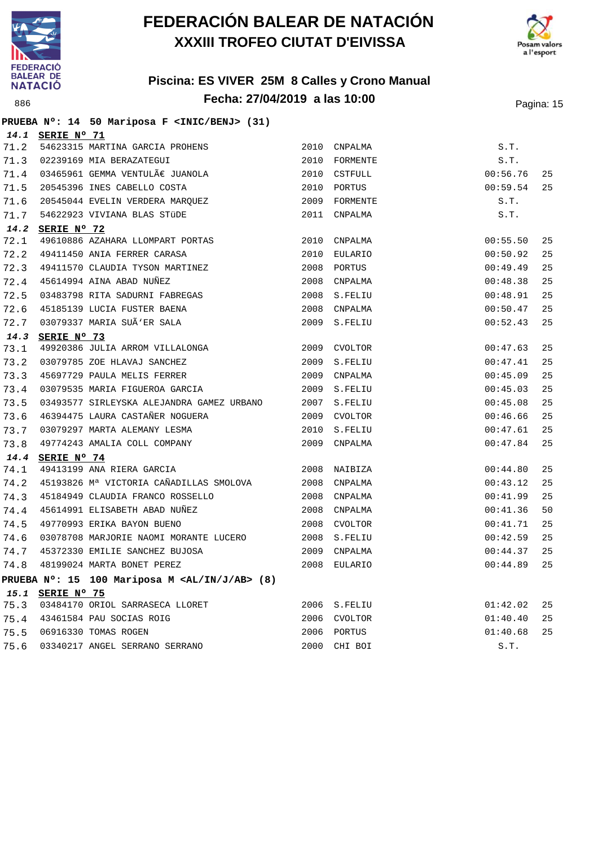





|      |                  | PRUEBA Nº: 14 50 Mariposa F <inic benj=""> (31)</inic>      |      |                |          |    |
|------|------------------|-------------------------------------------------------------|------|----------------|----------|----|
|      | 14.1 SERIE Nº 71 |                                                             |      |                |          |    |
| 71.2 |                  | 54623315 MARTINA GARCIA PROHENS                             | 2010 | CNPALMA        | S.T.     |    |
| 71.3 |                  | 02239169 MIA BERAZATEGUI                                    | 2010 | FORMENTE       | S.T.     |    |
| 71.4 |                  | 03465961 GEMMA VENTULÀ JUANOLA                              | 2010 | CSTFULL        | 00:56.76 | 25 |
| 71.5 |                  | 20545396 INES CABELLO COSTA                                 |      | 2010 PORTUS    | 00:59.54 | 25 |
| 71.6 |                  | 20545044 EVELIN VERDERA MARQUEZ                             | 2009 | FORMENTE       | S.T.     |    |
| 71.7 |                  | 54622923 VIVIANA BLAS STÜDE                                 | 2011 | CNPALMA        | S.T.     |    |
| 14.2 | SERIE Nº 72      |                                                             |      |                |          |    |
| 72.1 |                  | 49610886 AZAHARA LLOMPART PORTAS                            | 2010 | CNPALMA        | 00:55.50 | 25 |
| 72.2 |                  | 49411450 ANIA FERRER CARASA                                 | 2010 | EULARIO        | 00:50.92 | 25 |
| 72.3 |                  | 49411570 CLAUDIA TYSON MARTINEZ                             | 2008 | PORTUS         | 00:49.49 | 25 |
| 72.4 |                  | 45614994 AINA ABAD NUÑEZ                                    | 2008 | CNPALMA        | 00:48.38 | 25 |
| 72.5 |                  | 03483798 RITA SADURNI FABREGAS                              |      | 2008 S.FELIU   | 00:48.91 | 25 |
| 72.6 |                  | 45185139 LUCIA FUSTER BAENA                                 | 2008 | CNPALMA        | 00:50.47 | 25 |
| 72.7 |                  | 03079337 MARIA SUÃ'ER SALA                                  |      | 2009 S.FELIU   | 00:52.43 | 25 |
| 14.3 | SERIE Nº 73      |                                                             |      |                |          |    |
| 73.1 |                  | 49920386 JULIA ARROM VILLALONGA                             | 2009 | <b>CVOLTOR</b> | 00:47.63 | 25 |
| 73.2 |                  | 03079785 ZOE HLAVAJ SANCHEZ                                 | 2009 | S.FELIU        | 00:47.41 | 25 |
| 73.3 |                  | 45697729 PAULA MELIS FERRER                                 | 2009 | CNPALMA        | 00:45.09 | 25 |
| 73.4 |                  | 03079535 MARIA FIGUEROA GARCIA                              | 2009 | S.FELIU        | 00:45.03 | 25 |
| 73.5 |                  | 03493577 SIRLEYSKA ALEJANDRA GAMEZ URBANO                   | 2007 | S.FELIU        | 00:45.08 | 25 |
| 73.6 |                  | 46394475 LAURA CASTAÑER NOGUERA                             |      | 2009 CVOLTOR   | 00:46.66 | 25 |
| 73.7 |                  | 03079297 MARTA ALEMANY LESMA                                | 2010 | S.FELIU        | 00:47.61 | 25 |
| 73.8 |                  | 49774243 AMALIA COLL COMPANY                                | 2009 | CNPALMA        | 00:47.84 | 25 |
| 14.4 | SERIE Nº 74      |                                                             |      |                |          |    |
| 74.1 |                  | 49413199 ANA RIERA GARCIA                                   |      | 2008 NAIBIZA   | 00:44.80 | 25 |
| 74.2 |                  | 45193826 Mª VICTORIA CAÑADILLAS SMOLOVA                     |      | 2008 CNPALMA   | 00:43.12 | 25 |
| 74.3 |                  | 45184949 CLAUDIA FRANCO ROSSELLO                            | 2008 | CNPALMA        | 00:41.99 | 25 |
| 74.4 |                  | 45614991 ELISABETH ABAD NUÑEZ                               | 2008 | CNPALMA        | 00:41.36 | 50 |
| 74.5 |                  | 49770993 ERIKA BAYON BUENO                                  | 2008 | CVOLTOR        | 00:41.71 | 25 |
| 74.6 |                  | 03078708 MARJORIE NAOMI MORANTE LUCERO                      |      | 2008 S.FELIU   | 00:42.59 | 25 |
| 74.7 |                  | 45372330 EMILIE SANCHEZ BUJOSA                              | 2009 | CNPALMA        | 00:44.37 | 25 |
| 74.8 |                  | 48199024 MARTA BONET PEREZ                                  |      | 2008 EULARIO   | 00:44.89 | 25 |
|      |                  | PRUEBA Nº: 15 100 Mariposa M <al ab="" in="" j=""> (8)</al> |      |                |          |    |
|      | 15.1 SERIE Nº 75 |                                                             |      |                |          |    |
| 75.3 |                  | 03484170 ORIOL SARRASECA LLORET                             |      | 2006 S.FELIU   | 01:42.02 | 25 |
| 75.4 |                  | 43461584 PAU SOCIAS ROIG                                    |      | 2006 CVOLTOR   | 01:40.40 | 25 |
| 75.5 |                  | 06916330 TOMAS ROGEN                                        |      | 2006 PORTUS    | 01:40.68 | 25 |
| 75.6 |                  | 03340217 ANGEL SERRANO SERRANO                              |      | 2000 CHI BOI   | S.T.     |    |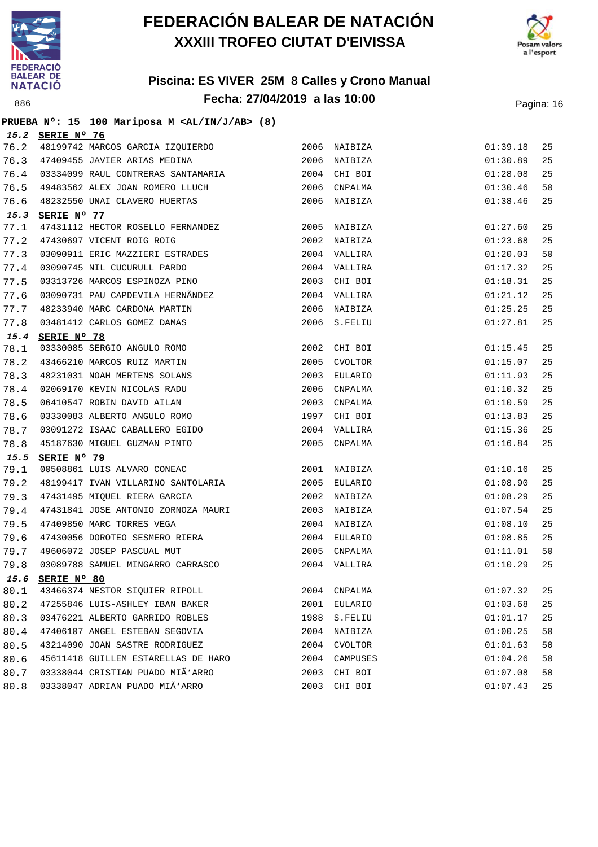



|      | PRUEBA Nº: 15 100 Mariposa M <al ab="" in="" j=""> (8)</al>    |      |                    |          |    |
|------|----------------------------------------------------------------|------|--------------------|----------|----|
|      | 15.2 SERIE Nº 76                                               |      |                    |          |    |
| 76.2 | 48199742 MARCOS GARCIA IZQUIERDO                               |      | 2006 NAIBIZA       | 01:39.18 | 25 |
| 76.3 | 47409455 JAVIER ARIAS MEDINA                                   |      | 2006 NAIBIZA       | 01:30.89 | 25 |
|      | 76.4 03334099 RAUL CONTRERAS SANTAMARIA                        |      | 2004 CHI BOI       | 01:28.08 | 25 |
| 76.5 | 49483562 ALEX JOAN ROMERO LLUCH                                |      | 2006 CNPALMA       | 01:30.46 | 50 |
| 76.6 | 48232550 UNAI CLAVERO HUERTAS                                  |      | 2006 NAIBIZA       | 01:38.46 | 25 |
| 15.3 | SERIE Nº 77                                                    |      |                    |          |    |
| 77.1 | 47431112 HECTOR ROSELLO FERNANDEZ                              | 2005 | NAIBIZA            | 01:27.60 | 25 |
| 77.2 | 47430697 VICENT ROIG ROIG                                      | 2002 | NAIBIZA            | 01:23.68 | 25 |
| 77.3 | 03090911 ERIC MAZZIERI ESTRADES<br>03090745 NIL CUCURULL PARDO |      | 2004 VALLIRA       | 01:20.03 | 50 |
| 77.4 |                                                                |      | 2004 VALLIRA       | 01:17.32 | 25 |
| 77.5 | 03313726 MARCOS ESPINOZA PINO                                  |      | 2003 CHI BOI       | 01:18.31 | 25 |
| 77.6 | 03090731 PAU CAPDEVILA HERNÃNDEZ                               |      | 2004 VALLIRA       | 01:21.12 | 25 |
| 77.7 | 48233940 MARC CARDONA MARTIN                                   |      | 2006 NAIBIZA       | 01:25.25 | 25 |
| 77.8 | 03481412 CARLOS GOMEZ DAMAS                                    |      | 2006 S.FELIU       | 01:27.81 | 25 |
| 15.4 | SERIE Nº 78                                                    |      |                    |          |    |
| 78.1 | 03330085 SERGIO ANGULO ROMO                                    |      | 2002 CHI BOI       | 01:15.45 | 25 |
| 78.2 | 43466210 MARCOS RUIZ MARTIN                                    | 2005 | CVOLTOR            | 01:15.07 | 25 |
| 78.3 | 48231031 NOAH MERTENS SOLANS                                   |      | 2003 EULARIO       | 01:11.93 | 25 |
| 78.4 | 02069170 KEVIN NICOLAS RADU                                    |      | 2006 CNPALMA       | 01:10.32 | 25 |
| 78.5 | 06410547 ROBIN DAVID AILAN                                     |      | 2003 CNPALMA       | 01:10.59 | 25 |
| 78.6 | 03330083 ALBERTO ANGULO ROMO                                   |      | 1997 CHI BOI       | 01:13.83 | 25 |
| 78.7 | 03091272 ISAAC CABALLERO EGIDO                                 |      | 2004 VALLIRA       | 01:15.36 | 25 |
| 78.8 | 45187630 MIGUEL GUZMAN PINTO                                   |      | 2005 CNPALMA       | 01:16.84 | 25 |
| 15.5 | SERIE Nº 79                                                    |      |                    |          |    |
| 79.1 | 00508861 LUIS ALVARO CONEAC                                    | 2001 | NAIBIZA            | 01:10.16 | 25 |
| 79.2 | 48199417 IVAN VILLARINO SANTOLARIA                             |      | 2005 EULARIO       | 01:08.90 | 25 |
| 79.3 | 47431495 MIQUEL RIERA GARCIA                                   |      | 2002 NAIBIZA       | 01:08.29 | 25 |
| 79.4 | 47431841 JOSE ANTONIO ZORNOZA MAURI                            | 2003 | NAIBIZA            | 01:07.54 | 25 |
| 79.5 | 47409850 MARC TORRES VEGA                                      |      | 2004 NAIBIZA       | 01:08.10 | 25 |
| 79.6 | 47430056 DOROTEO SESMERO RIERA                                 |      | 2004 EULARIO       | 01:08.85 | 25 |
| 79.7 | 49606072 JOSEP PASCUAL MUT                                     |      | 2005 CNPALMA       | 01:11.01 | 50 |
| 79.8 | 03089788 SAMUEL MINGARRO CARRASCO                              |      | 2004 VALLIRA       | 01:10.29 | 25 |
| 15.6 | SERIE Nº 80                                                    |      |                    |          |    |
| 80.1 | 43466374 NESTOR SIQUIER RIPOLL                                 |      | 2004 CNPALMA       | 01:07.32 | 25 |
| 80.2 | 47255846 LUIS-ASHLEY IBAN BAKER                                | 2001 | EULARIO            | 01:03.68 | 25 |
| 80.3 | 03476221 ALBERTO GARRIDO ROBLES                                | 1988 | $\texttt{S.FELIU}$ | 01:01.17 | 25 |
| 80.4 | 47406107 ANGEL ESTEBAN SEGOVIA                                 | 2004 | NAIBIZA            | 01:00.25 | 50 |
| 80.5 | 43214090 JOAN SASTRE RODRIGUEZ                                 | 2004 | <b>CVOLTOR</b>     | 01:01.63 | 50 |
| 80.6 | 45611418 GUILLEM ESTARELLAS DE HARO                            | 2004 | CAMPUSES           | 01:04.26 | 50 |
| 80.7 | 03338044 CRISTIAN PUADO MIÃ'ARRO                               | 2003 | CHI BOI            | 01:07.08 | 50 |
| 80.8 | 03338047 ADRIAN PUADO MIÃ'ARRO                                 | 2003 | CHI BOI            | 01:07.43 | 25 |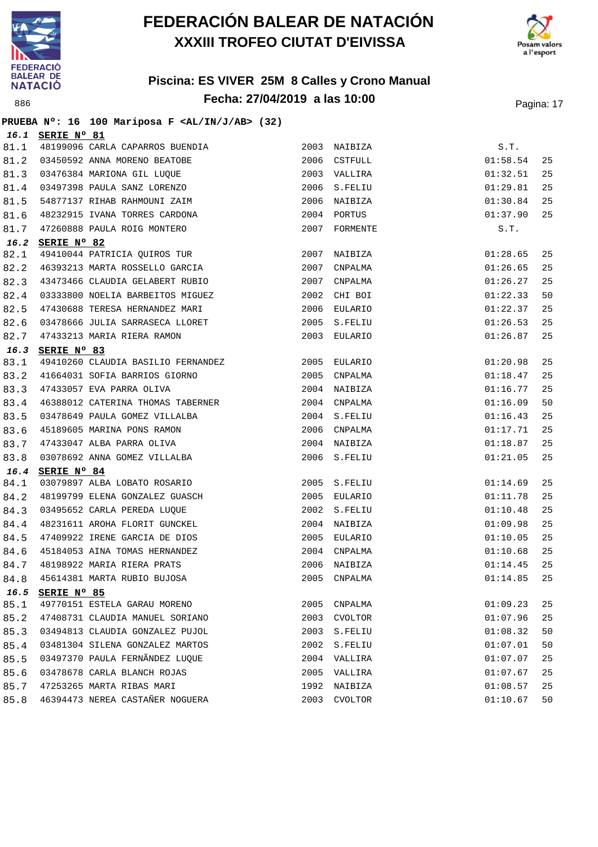



|      |                  | PRUEBA Nº: 16 100 Mariposa F <al ab="" in="" j=""> (32)</al> |      |               |          |    |
|------|------------------|--------------------------------------------------------------|------|---------------|----------|----|
|      | 16.1 SERIE Nº 81 |                                                              |      |               |          |    |
| 81.1 |                  | 48199096 CARLA CAPARROS BUENDIA                              |      | 2003 NAIBIZA  | S.T.     |    |
| 81.2 |                  | 03450592 ANNA MORENO BEATOBE                                 |      | 2006 CSTFULL  | 01:58.54 | 25 |
| 81.3 |                  | 03476384 MARIONA GIL LUQUE                                   |      | 2003 VALLIRA  | 01:32.51 | 25 |
| 81.4 |                  | 03497398 PAULA SANZ LORENZO                                  |      | 2006 S.FELIU  | 01:29.81 | 25 |
| 81.5 |                  | 54877137 RIHAB RAHMOUNI ZAIM                                 |      | 2006 NAIBIZA  | 01:30.84 | 25 |
| 81.6 |                  | 48232915 IVANA TORRES CARDONA                                |      | 2004 PORTUS   | 01:37.90 | 25 |
| 81.7 |                  | 47260888 PAULA ROIG MONTERO                                  |      | 2007 FORMENTE | S.T.     |    |
| 16.2 | SERIE Nº 82      |                                                              |      |               |          |    |
| 82.1 |                  | 49410044 PATRICIA QUIROS TUR                                 | 2007 | NAIBIZA       | 01:28.65 | 25 |
| 82.2 |                  | 46393213 MARTA ROSSELLO GARCIA                               |      | 2007 CNPALMA  | 01:26.65 | 25 |
| 82.3 |                  | 43473466 CLAUDIA GELABERT RUBIO                              |      | 2007 CNPALMA  | 01:26.27 | 25 |
| 82.4 |                  | 03333800 NOELIA BARBEITOS MIGUEZ                             |      | 2002 CHI BOI  | 01:22.33 | 50 |
| 82.5 |                  | 47430688 TERESA HERNANDEZ MARI                               |      | 2006 EULARIO  | 01:22.37 | 25 |
| 82.6 |                  | 03478666 JULIA SARRASECA LLORET                              |      | 2005 S.FELIU  | 01:26.53 | 25 |
| 82.7 |                  | 47433213 MARIA RIERA RAMON                                   |      | 2003 EULARIO  | 01:26.87 | 25 |
| 16.3 | SERIE Nº 83      |                                                              |      |               |          |    |
| 83.1 |                  | 49410260 CLAUDIA BASILIO FERNANDEZ                           |      | 2005 EULARIO  | 01:20.98 | 25 |
| 83.2 |                  | 41664031 SOFIA BARRIOS GIORNO                                |      | 2005 CNPALMA  | 01:18.47 | 25 |
| 83.3 |                  | 47433057 EVA PARRA OLIVA                                     |      | 2004 NAIBIZA  | 01:16.77 | 25 |
| 83.4 |                  | 46388012 CATERINA THOMAS TABERNER                            |      | 2004 CNPALMA  | 01:16.09 | 50 |
| 83.5 |                  | 03478649 PAULA GOMEZ VILLALBA                                |      | 2004 S.FELIU  | 01:16.43 | 25 |
| 83.6 |                  | 45189605 MARINA PONS RAMON                                   |      | 2006 CNPALMA  | 01:17.71 | 25 |
| 83.7 |                  | 47433047 ALBA PARRA OLIVA                                    |      | 2004 NAIBIZA  | 01:18.87 | 25 |
| 83.8 |                  | 03078692 ANNA GOMEZ VILLALBA                                 |      | 2006 S.FELIU  | 01:21.05 | 25 |
| 16.4 | SERIE Nº 84      |                                                              |      |               |          |    |
| 84.1 |                  | 03079897 ALBA LOBATO ROSARIO                                 |      | 2005 S.FELIU  | 01:14.69 | 25 |
| 84.2 |                  | 48199799 ELENA GONZALEZ GUASCH                               |      | 2005 EULARIO  | 01:11.78 | 25 |
| 84.3 |                  | 03495652 CARLA PEREDA LUOUE                                  |      | 2002 S.FELIU  | 01:10.48 | 25 |
| 84.4 |                  | 48231611 AROHA FLORIT GUNCKEL                                |      | 2004 NAIBIZA  | 01:09.98 | 25 |
| 84.5 |                  | 47409922 IRENE GARCIA DE DIOS                                |      | 2005 EULARIO  | 01:10.05 | 25 |
| 84.6 |                  | 45184053 AINA TOMAS HERNANDEZ                                |      | 2004 CNPALMA  | 01:10.68 | 25 |
| 84.7 |                  | 48198922 MARIA RIERA PRATS                                   |      | 2006 NAIBIZA  | 01:14.45 | 25 |
| 84.8 |                  | 45614381 MARTA RUBIO BUJOSA                                  | 2005 | CNPALMA       | 01:14.85 | 25 |
| 16.5 | SERIE Nº 85      |                                                              |      |               |          |    |
| 85.1 |                  | 49770151 ESTELA GARAU MORENO                                 | 2005 | CNPALMA       | 01:09.23 | 25 |
| 85.2 |                  | 47408731 CLAUDIA MANUEL SORIANO                              | 2003 | CVOLTOR       | 01:07.96 | 25 |
| 85.3 |                  | 03494813 CLAUDIA GONZALEZ PUJOL                              | 2003 | S.FELIU       | 01:08.32 | 50 |
| 85.4 |                  | 03481304 SILENA GONZALEZ MARTOS                              | 2002 | S.FELIU       | 01:07.01 | 50 |
| 85.5 |                  | 03497370 PAULA FERNÃNDEZ LUQUE                               | 2004 | VALLIRA       | 01:07.07 | 25 |
| 85.6 |                  | 03478678 CARLA BLANCH ROJAS                                  | 2005 | VALLIRA       | 01:07.67 | 25 |
| 85.7 |                  | 47253265 MARTA RIBAS MARI                                    | 1992 | NAIBIZA       | 01:08.57 | 25 |
| 85.8 |                  | 46394473 NEREA CASTAÑER NOGUERA                              | 2003 | CVOLTOR       | 01:10.67 | 50 |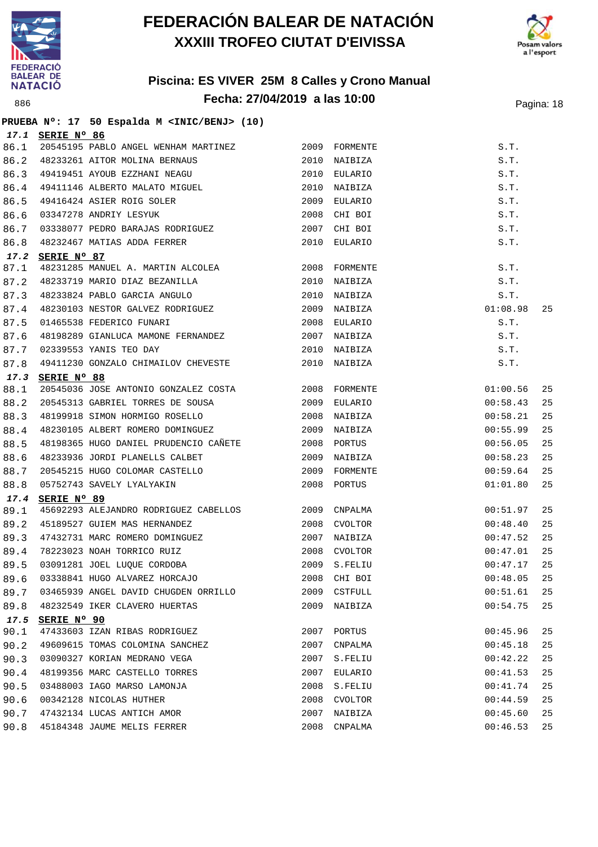

**PRUEBA Nº: 17 50 Espalda M <INIC/BENJ> (10)**

## **FEDERACIÓN BALEAR DE NATACIÓN XXXIII TROFEO CIUTAT D'EIVISSA**



|      | 17.1 SERIE Nº 86                                                                      |      |               |               |    |
|------|---------------------------------------------------------------------------------------|------|---------------|---------------|----|
| 86.1 | 20545195 PABLO ANGEL WENHAM MARTINEZ                                                  |      | 2009 FORMENTE | S.T.          |    |
| 86.2 | 48233261 AITOR MOLINA BERNAUS                                                         | 2010 | NAIBIZA       | S.T.          |    |
| 86.3 | 49419451 AYOUB EZZHANI NEAGU                                                          | 2010 | EULARIO       | S.T.          |    |
| 86.4 |                                                                                       |      | 2010 NAIBIZA  | S.T.          |    |
| 86.5 |                                                                                       | 2009 | EULARIO       | S.T.          |    |
| 86.6 | 49411146 ALBERTO MALATO MIGUEL<br>49416424 ASIER ROIG SOLER<br>03347278 ANDRIY LESYUK | 2008 | CHI BOI       | S.T.          |    |
| 86.7 | 03338077 PEDRO BARAJAS RODRIGUEZ                                                      | 2007 | CHI BOI       | S.T.          |    |
| 86.8 | 48232467 MATIAS ADDA FERRER                                                           |      | 2010 EULARIO  | S.T.          |    |
|      | 17.2 SERIE Nº 87                                                                      |      |               |               |    |
| 87.1 | 48231285 MANUEL A. MARTIN ALCOLEA 2008 FORMENTE                                       |      |               | S.T.          |    |
| 87.2 | 48233719 MARIO DIAZ BEZANILLA                                                         | 2010 | NAIBIZA       | S.T.          |    |
| 87.3 | 48233824 PABLO GARCIA ANGULO<br>19936199 1771                                         |      | 2010 NAIBIZA  | S.T.          |    |
| 87.4 | 48230103 NESTOR GALVEZ RODRIGUEZ                                                      |      | 2009 NAIBIZA  | 01:08.98      | 25 |
| 87.5 | 01465538 FEDERICO FUNARI                                                              | 2008 | EULARIO       | S.T.          |    |
| 87.6 | 48198289 GIANLUCA MAMONE FERNANDEZ                                                    |      | 2007 NAIBIZA  | S.T.          |    |
| 87.7 | 02339553 YANIS TEO DAY                                                                |      | 2010 NAIBIZA  | S.T.          |    |
| 87.8 | 49411230 GONZALO CHIMAILOV CHEVESTE                                                   |      | 2010 NAIBIZA  | S.T.          |    |
|      | 17.3 SERIE Nº 88                                                                      |      |               |               |    |
| 88.1 | 20545036 JOSE ANTONIO GONZALEZ COSTA 2008 FORMENTE                                    |      |               | 01:00.56      | 25 |
| 88.2 | 20545313 GABRIEL TORRES DE SOUSA 2009                                                 |      | EULARIO       | 00:58.43      | 25 |
| 88.3 | 48199918 SIMON HORMIGO ROSELLO                                                        |      | 2008 NAIBIZA  | 00:58.21      | 25 |
| 88.4 | 48230105 ALBERT ROMERO DOMINGUEZ                                                      |      | 2009 NAIBIZA  | 00:55.99      | 25 |
| 88.5 | 48198365 HUGO DANIEL PRUDENCIO CAÑETE 2008 PORTUS                                     |      |               | 00:56.05      | 25 |
| 88.6 | 48233936 JORDI PLANELLS CALBET                                                        | 2009 | NAIBIZA       | 00:58.23      | 25 |
| 88.7 |                                                                                       |      | 2009 FORMENTE | 00:59.64      | 25 |
| 88.8 | 20545215 HUGO COLOMAR CASTELLO<br>05752743 SAVELY LYALYAKIN                           |      | 2008 PORTUS   | 01:01.80      | 25 |
| 17.4 | SERIE Nº 89                                                                           |      |               |               |    |
| 89.1 | 45692293 ALEJANDRO RODRIGUEZ CABELLOS 2009 CNPALMA                                    |      |               | 00:51.97      | 25 |
| 89.2 | 45189527 GUIEM MAS HERNANDEZ                                                          |      | 2008 CVOLTOR  | 00:48.40      | 25 |
| 89.3 | 47432731 MARC ROMERO DOMINGUEZ                                                        |      | 2007 NAIBIZA  | 00:47.52      | 25 |
| 89.4 | 78223023 NOAH TORRICO RUIZ                                                            |      | 2008 CVOLTOR  | 00:47.01      | 25 |
| 89.5 | 03091281 JOEL LUQUE CORDOBA                                                           |      | 2009 S.FELIU  | 00:47.17      | 25 |
|      | 89.6 03338841 HUGO ALVAREZ HORCAJO                                                    |      | 2008 CHI BOI  | $00:48.05$ 25 |    |
| 89.7 | 03465939 ANGEL DAVID CHUGDEN ORRILLO                                                  |      | 2009 CSTFULL  | 00:51.61      | 25 |
| 89.8 | 48232549 IKER CLAVERO HUERTAS                                                         |      | 2009 NAIBIZA  | 00:54.75      | 25 |
| 17.5 | SERIE Nº 90                                                                           |      |               |               |    |
| 90.1 | 47433603 IZAN RIBAS RODRIGUEZ                                                         |      | 2007 PORTUS   | 00:45.96      | 25 |
| 90.2 | 49609615 TOMAS COLOMINA SANCHEZ                                                       | 2007 | CNPALMA       | 00:45.18      | 25 |
| 90.3 | 03090327 KORIAN MEDRANO VEGA                                                          | 2007 | S.FELIU       | 00:42.22      | 25 |
| 90.4 | 48199356 MARC CASTELLO TORRES                                                         | 2007 | EULARIO       | 00:41.53      | 25 |
| 90.5 | 03488003 IAGO MARSO LAMONJA                                                           | 2008 | S.FELIU       | 00:41.74      | 25 |
| 90.6 | 00342128 NICOLAS HUTHER                                                               | 2008 | CVOLTOR       | 00:44.59      | 25 |
| 90.7 | 47432134 LUCAS ANTICH AMOR                                                            | 2007 | NAIBIZA       | 00:45.60      | 25 |
| 90.8 | 45184348 JAUME MELIS FERRER                                                           | 2008 | CNPALMA       | 00:46.53      | 25 |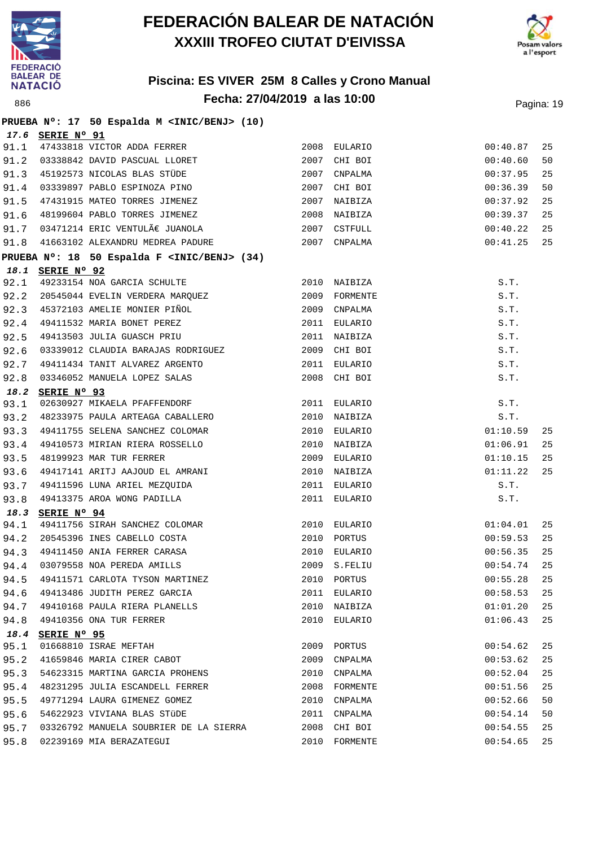



|      |                  | PRUEBA Nº: 17 50 Espalda M <inic benj=""> (10)</inic>                                         |               |               |    |
|------|------------------|-----------------------------------------------------------------------------------------------|---------------|---------------|----|
|      | 17.6 SERIE Nº 91 |                                                                                               |               |               |    |
| 91.1 |                  | 47433818 VICTOR ADDA FERRER                                                                   | 2008 EULARIO  | 00:40.87      | 25 |
| 91.2 |                  | 03338842 DAVID PASCUAL LLORET                                                                 | 2007 CHI BOI  | 00:40.60      | 50 |
| 91.3 |                  | 45192573 NICOLAS BLAS STÜDE                                                                   | 2007 CNPALMA  | 00:37.95      | 25 |
| 91.4 |                  | 03339897 PABLO ESPINOZA PINO                                                                  | 2007 CHI BOI  | 00:36.39      | 50 |
| 91.5 |                  | 47431915 MATEO TORRES JIMENEZ                                                                 | 2007 NAIBIZA  | 00:37.92      | 25 |
| 91.6 |                  | 48199604 PABLO TORRES JIMENEZ                                                                 | 2008 NAIBIZA  | 00:39.37      | 25 |
| 91.7 |                  | $03471214$ ERIC VENTULÃ $\in$ JUANOLA                                                         | 2007 CSTFULL  | 00:40.22      | 25 |
| 91.8 |                  | 41663102 ALEXANDRU MEDREA PADURE                                                              | 2007 CNPALMA  | 00:41.25      | 25 |
|      |                  | PRUEBA Nº: 18 50 Espalda F <inic benj=""> (34)</inic>                                         |               |               |    |
|      | 18.1 SERIE Nº 92 |                                                                                               |               |               |    |
| 92.1 |                  | 49233154 NOA GARCIA SCHULTE                                                                   | 2010 NAIBIZA  | S.T.          |    |
| 92.2 |                  | 20545044 EVELIN VERDERA MARQUEZ                                                               | 2009 FORMENTE | S.T.          |    |
| 92.3 |                  | 20045044 EVERN, CHEFE CONTROL<br>45372103 AMELIE MONIER PIÑOL                                 | 2009 CNPALMA  | S.T.          |    |
| 92.4 |                  | 49411532 MARIA BONET PEREZ                                                                    | 2011 EULARIO  | S.T.          |    |
| 92.5 |                  | 49413503 JULIA GUASCH PRIU                                                                    | 2011 NAIBIZA  | S.T.          |    |
| 92.6 |                  | 03339012 CLAUDIA BARAJAS RODRIGUEZ                                                            | 2009 CHI BOI  | S.T.          |    |
| 92.7 |                  | 49411434 TANIT ALVAREZ ARGENTO                                                                | 2011 EULARIO  | S.T.          |    |
| 92.8 |                  | 03346052 MANUELA LOPEZ SALAS                                                                  | 2008 CHI BOI  | S.T.          |    |
| 18.2 | SERIE Nº 93      |                                                                                               |               |               |    |
| 93.1 |                  | 02630927 MIKAELA PFAFFENDORF                                                                  | 2011 EULARIO  | S.T.          |    |
| 93.2 |                  | 48233975 PAULA ARTEAGA CABALLERO                                                              | 2010 NAIBIZA  | S.T.          |    |
| 93.3 |                  | 49411755 SELENA SANCHEZ COLOMAR                                                               | 2010 EULARIO  | 01:10.59      | 25 |
| 93.4 |                  | 49410573 MIRIAN RIERA ROSSELLO                                                                | 2010 NAIBIZA  | 01:06.91      | 25 |
| 93.5 |                  | 48199923 MAR TUR FERRER                                                                       | 2009 EULARIO  | 01:10.15      | 25 |
| 93.6 |                  | 49417141 ARITJ AAJOUD EL AMRANI<br>49411596 LUNA ARIEL MEZQUIDA<br>49413375 AROA WONG PADILLA | 2010 NAIBIZA  | 01:11.22      | 25 |
| 93.7 |                  |                                                                                               | 2011 EULARIO  | S.T.          |    |
| 93.8 |                  |                                                                                               | 2011 EULARIO  | S.T.          |    |
|      | 18.3 SERIE Nº 94 |                                                                                               |               |               |    |
| 94.1 |                  | 49411756 SIRAH SANCHEZ COLOMAR<br>20545396 INES CABELLO COSTA                                 | 2010 EULARIO  | 01:04.01      | 25 |
| 94.2 |                  |                                                                                               | 2010 PORTUS   | 00:59.53      | 25 |
| 94.3 |                  | 49411450 ANIA FERRER CARASA                                                                   | 2010 EULARIO  | 00:56.35      | 25 |
| 94.4 |                  | 03079558 NOA PEREDA AMILLS                                                                    | 2009 S.FELIU  | $00:54.74$ 25 |    |
| 94.5 |                  | 49411571 CARLOTA TYSON MARTINEZ                                                               | 2010 PORTUS   | 00:55.28      | 25 |
| 94.6 |                  | 49413486 JUDITH PEREZ GARCIA                                                                  | 2011 EULARIO  | 00:58.53      | 25 |
| 94.7 |                  | 49410168 PAULA RIERA PLANELLS                                                                 | 2010 NAIBIZA  | 01:01.20      | 25 |
| 94.8 |                  | 49410356 ONA TUR FERRER                                                                       | 2010 EULARIO  | 01:06.43      | 25 |
|      | 18.4 SERIE Nº 95 |                                                                                               |               |               |    |
| 95.1 |                  | 01668810 ISRAE MEFTAH                                                                         | 2009 PORTUS   | 00:54.62      | 25 |
| 95.2 |                  | 41659846 MARIA CIRER CABOT                                                                    | 2009 CNPALMA  | 00:53.62      | 25 |
| 95.3 |                  | 54623315 MARTINA GARCIA PROHENS                                                               | 2010 CNPALMA  | 00:52.04      | 25 |
| 95.4 |                  | 48231295 JULIA ESCANDELL FERRER                                                               | 2008 FORMENTE | 00:51.56      | 25 |
| 95.5 |                  | 49771294 LAURA GIMENEZ GOMEZ                                                                  | 2010 CNPALMA  | 00:52.66      | 50 |
| 95.6 |                  | 54622923 VIVIANA BLAS STÜDE                                                                   | 2011 CNPALMA  | 00:54.14      | 50 |
| 95.7 |                  | 03326792 MANUELA SOUBRIER DE LA SIERRA                                                        | 2008 CHI BOI  | 00:54.55      | 25 |
| 95.8 |                  | 02239169 MIA BERAZATEGUI                                                                      | 2010 FORMENTE | 00:54.65      | 25 |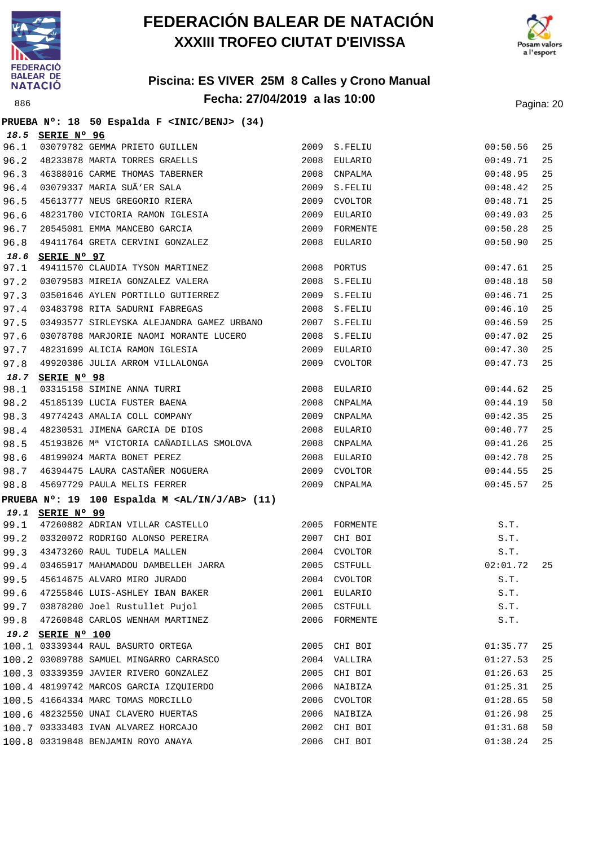



|  |  |  | PRUEBA Nº: 18 50 Espalda F <inic benj=""> (34)</inic> |  |
|--|--|--|-------------------------------------------------------|--|
|  |  |  |                                                       |  |

|      | 18.5 SERIE Nº 96                                                                              |      |                |          |    |
|------|-----------------------------------------------------------------------------------------------|------|----------------|----------|----|
| 96.1 |                                                                                               | 2009 | S.FELIU        | 00:50.56 | 25 |
| 96.2 | <b>SERIE N° 90</b><br>03079782 GEMMA PRIETO GUILLEN<br>48233878 MARTA TORRES GRAELLS          | 2008 | EULARIO        | 00:49.71 | 25 |
| 96.3 | 46388016 CARME THOMAS TABERNER                                                                | 2008 | CNPALMA        | 00:48.95 | 25 |
| 96.4 |                                                                                               | 2009 | S.FELIU        | 00:48.42 | 25 |
| 96.5 |                                                                                               | 2009 | CVOLTOR        | 00:48.71 | 25 |
| 96.6 | 03079337 MARIA SUÃ'ER SALA<br>45613777 NEUS GREGORIO RIERA<br>48231700 VICTORIA RAMON IGLESIA | 2009 | EULARIO        | 00:49.03 | 25 |
| 96.7 | 20545081 EMMA MANCEBO GARCIA                                                                  | 2009 | FORMENTE       | 00:50.28 | 25 |
| 96.8 | 49411764 GRETA CERVINI GONZALEZ                                                               | 2008 | EULARIO        | 00:50.90 | 25 |
|      | 18.6 SERIE Nº 97                                                                              |      |                |          |    |
| 97.1 | 49411570 CLAUDIA TYSON MARTINEZ                                                               |      | 2008 PORTUS    | 00:47.61 | 25 |
| 97.2 | 03079583 MIREIA GONZALEZ VALERA (2008 S.FELIU                                                 |      |                | 00:48.18 | 50 |
| 97.3 | 03501646 AYLEN PORTILLO GUTIERREZ                                                             |      | 2009 S.FELIU   | 00:46.71 | 25 |
| 97.4 | 03483798 RITA SADURNI FABREGAS                                                                |      | 2008 S.FELIU   | 00:46.10 | 25 |
| 97.5 | 03493577 SIRLEYSKA ALEJANDRA GAMEZ URBANO 2007 S.FELIU                                        |      |                | 00:46.59 | 25 |
| 97.6 | 03078708 MARJORIE NAOMI MORANTE LUCERO 2008 S.FELIU                                           |      |                | 00:47.02 | 25 |
| 97.7 | 48231699 ALICIA RAMON IGLESIA                                                                 | 2009 | EULARIO        | 00:47.30 | 25 |
| 97.8 | 49920386 JULIA ARROM VILLALONGA                                                               | 2009 | CVOLTOR        | 00:47.73 | 25 |
| 18.7 | SERIE Nº 98                                                                                   |      |                |          |    |
| 98.1 | 03315158 SIMINE ANNA TURRI<br>45185139 LUCIA FUSTER BAENA                                     |      | 2008 EULARIO   | 00:44.62 | 25 |
| 98.2 |                                                                                               | 2008 | CNPALMA        | 00:44.19 | 50 |
| 98.3 | 49774243 AMALIA COLL COMPANY                                                                  | 2009 | CNPALMA        | 00:42.35 | 25 |
| 98.4 | 48230531 JIMENA GARCIA DE DIOS                                                                |      | 2008 EULARIO   | 00:40.77 | 25 |
| 98.5 | 45193826 Mª VICTORIA CAÑADILLAS SMOLOVA 2008 CNPALMA                                          |      |                | 00:41.26 | 25 |
| 98.6 | 48199024 MARTA BONET PEREZ                                                                    | 2008 | EULARIO        | 00:42.78 | 25 |
| 98.7 | 46394475 LAURA CASTAÑER NOGUERA                                                               | 2009 | CVOLTOR        | 00:44.55 | 25 |
| 98.8 | 45697729 PAULA MELIS FERRER                                                                   | 2009 | CNPALMA        | 00:45.57 | 25 |
|      | PRUEBA $N^{\circ}$ : 19 100 Espalda M <al ab="" in="" j=""> (11)</al>                         |      |                |          |    |
|      | 19.1 SERIE Nº 99                                                                              |      |                |          |    |
| 99.1 | 47260882 ADRIAN VILLAR CASTELLO                                                               |      | 2005 FORMENTE  | S.T.     |    |
| 99.2 | 03320072 RODRIGO ALONSO PEREIRA                                                               | 2007 | CHI BOI        | S.T.     |    |
|      | 99.3 43473260 RAUL TUDELA MALLEN                                                              |      | 2004 CVOLTOR   | S.T.     |    |
| 99.4 | 03465917 MAHAMADOU DAMBELLEH JARRA<br>2005 CSTFULL                                            |      |                | 02:01.72 | 25 |
| 99.5 |                                                                                               |      |                | S.T.     |    |
|      | 99.6 47255846 LUIS-ASHLEY IBAN BAKER                                                          |      | 2001 EULARIO   | S.T.     |    |
|      | 99.7 03878200 Joel Rustullet Pujol                                                            |      | 2005 CSTFULL   | S.T.     |    |
|      | 99.8 47260848 CARLOS WENHAM MARTINEZ                                                          |      | 2006 FORMENTE  | S.T.     |    |
|      | 19.2 SERIE Nº 100                                                                             |      |                |          |    |
|      | 100.1 03339344 RAUL BASURTO ORTEGA                                                            | 2005 | CHI BOI        | 01:35.77 | 25 |
|      | 100.2 03089788 SAMUEL MINGARRO CARRASCO                                                       | 2004 | VALLIRA        | 01:27.53 | 25 |
|      | 100.3 03339359 JAVIER RIVERO GONZALEZ                                                         | 2005 | CHI BOI        | 01:26.63 | 25 |
|      | 100.4 48199742 MARCOS GARCIA IZQUIERDO                                                        | 2006 | NAIBIZA        | 01:25.31 | 25 |
|      | 100.5 41664334 MARC TOMAS MORCILLO                                                            | 2006 | <b>CVOLTOR</b> | 01:28.65 | 50 |
|      | 100.6 48232550 UNAI CLAVERO HUERTAS                                                           | 2006 | NAIBIZA        | 01:26.98 | 25 |
|      | 100.7 03333403 IVAN ALVAREZ HORCAJO                                                           | 2002 | CHI BOI        | 01:31.68 | 50 |
|      | 100.8 03319848 BENJAMIN ROYO ANAYA                                                            | 2006 | CHI BOI        | 01:38.24 | 25 |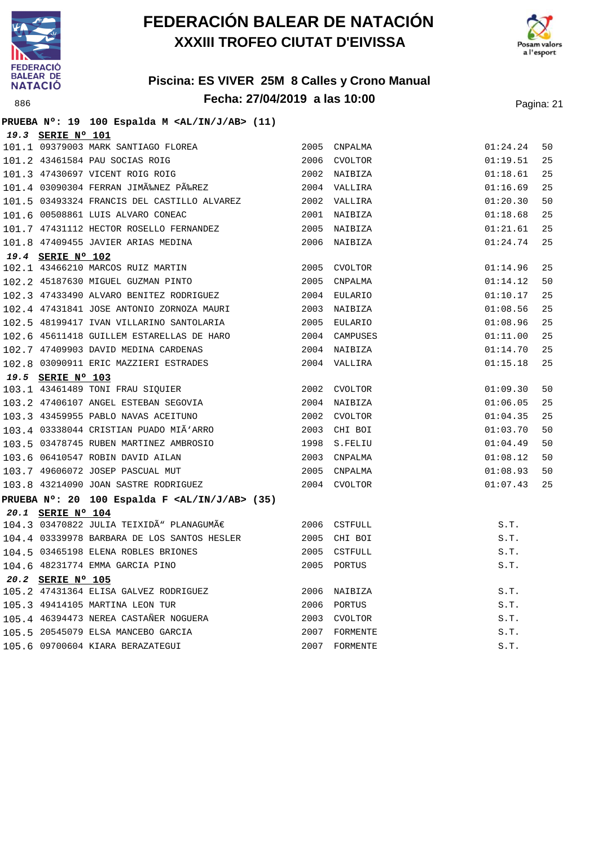



#### **Piscina: ES VIVER 25M 8 Calles y Crono Manual Fecha: 27/04/2019 a las 10:00** Pagina: 21

#### **PRUEBA Nº: 19 100 Espalda M <AL/IN/J/AB> (11) 19.3 SERIE Nº 101** 101.1 09379003 MARK SANTIAGO FLOREA 2005 CNPALMA 01:24.24 50 101.2 43461584 PAU SOCIAS ROIG 2006 CVOLTOR 01:19.51 25 101.3 47430697 VICENT ROIG ROIG 2002 NAIBIZA 01:18.61 25 101.4 03090304 FERRAN JIMÉNEZ PÉREZ 2004 VALLIRA 01:16.69 25 101.5 03493324 FRANCIS DEL CASTILLO ALVAREZ 2002 VALLIRA 01:20.30 50 101.6 00508861 LUIS ALVARO CONEAC 2001 NAIBIZA 01:18.68 25 101.7 47431112 HECTOR ROSELLO FERNANDEZ 2005 NAIBIZA 01:21.61 25 101.8 47409455 JAVIER ARIAS MEDINA 2006 NAIBIZA 01:24.74 25 **19.4 SERIE Nº 102** 102.1 43466210 MARCOS RUIZ MARTIN 2005 CVOLTOR 01:14.96 25 102.2 45187630 MIGUEL GUZMAN PINTO 2005 CNPALMA 01:14.12 50 102.3 47433490 ALVARO BENITEZ RODRIGUEZ 2004 EULARIO 01:10.17 25 102.4 47431841 JOSE ANTONIO ZORNOZA MAURI 2003 NAIBIZA 01:08.56 25 102.5 48199417 IVAN VILLARINO SANTOLARIA 2005 EULARIO 01:08.96 25 102.6 45611418 GUILLEM ESTARELLAS DE HARO 2004 CAMPUSES 01:11.00 25 102.7 47409903 DAVID MEDINA CARDENAS 2004 NAIBIZA 01:14.70 25 102.8 03090911 ERIC MAZZIERI ESTRADES 2004 VALLIRA 01:15.18 25 **19.5 SERIE Nº 103** 103.1 43461489 TONI FRAU SIQUIER 2002 CVOLTOR 01:09.30 50 103.2 47406107 ANGEL ESTEBAN SEGOVIA 2004 NAIBIZA 01:06.05 25 103.3 43459955 PABLO NAVAS ACEITUNO 2002 CVOLTOR 01:04.35 25 103.4 03338044 CRISTIAN PUADO MIÑARRO 2003 CHI BOI 01:03.70 50 103.5 03478745 RUBEN MARTINEZ AMBROSIO 1998 S.FELIU 01:04.49 50 103.6 06410547 ROBIN DAVID AILAN 2003 CNPALMA 01:08.12 50 103.7 49606072 JOSEP PASCUAL MUT 2005 CNPALMA 01:08.93 50 103.8 43214090 JOAN SASTRE RODRIGUEZ 2004 CVOLTOR 01:07.43 25 **PRUEBA Nº: 20 100 Espalda F <AL/IN/J/AB> (35) 20.1 SERIE Nº 104**  $104.3$  03470822 JULIA TEIXIDÃ PLANAGUMÃ $\epsilon$  2006 CSTFULL S.T. 104.4 03339978 BARBARA DE LOS SANTOS HESLER 2005 CHI BOI S.T. 104.5 03465198 ELENA ROBLES BRIONES 2005 CSTFULL S.T. 104.6 48231774 EMMA GARCIA PINO 2005 PORTUS S.T. **20.2 SERIE Nº 105** 105.2 47431364 ELISA GALVEZ RODRIGUEZ 2006 NAIBIZA S.T. 105.3 49414105 MARTINA LEON TUR 2006 PORTUS S.T. 105.4 46394473 NEREA CASTAÑER NOGUERA 2003 CVOLTOR S.T. 105.5 20545079 ELSA MANCEBO GARCIA 2007 FORMENTE S.T. 105.6 09700604 KIARA BERAZATEGUI 2007 FORMENTE S.T.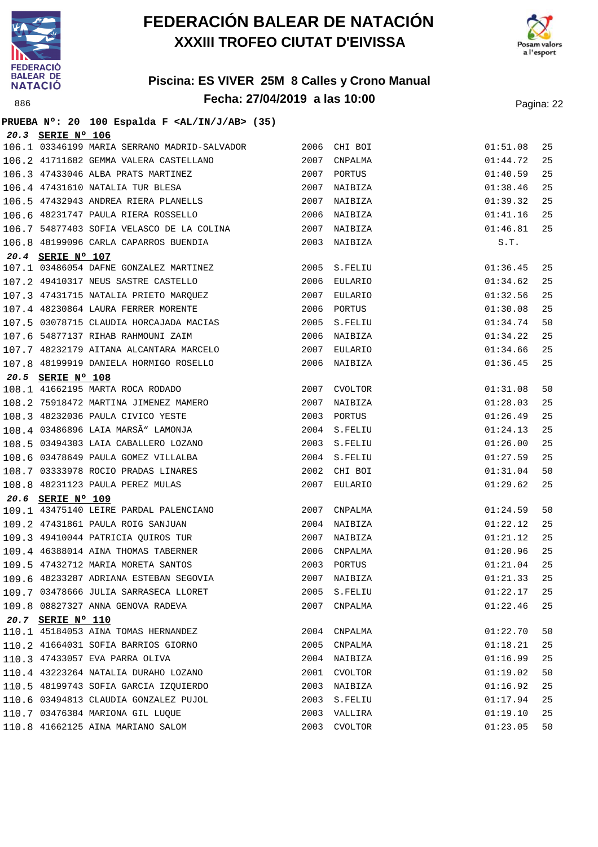



|                   | PRUEBA Nº: 20 100 Espalda F <al ab="" in="" j=""> (35)</al>                  |              |              |          |    |
|-------------------|------------------------------------------------------------------------------|--------------|--------------|----------|----|
| 20.3 SERIE Nº 106 |                                                                              |              |              |          |    |
|                   | 106.1 03346199 MARIA SERRANO MADRID-SALVADOR 2006 CHI BOI                    |              |              | 01:51.08 | 25 |
|                   | 106.2 41711682 GEMMA VALERA CASTELLANO                                       |              | 2007 CNPALMA | 01:44.72 | 25 |
|                   | 106.3 47433046 ALBA PRATS MARTINEZ                                           |              | 2007 PORTUS  | 01:40.59 | 25 |
|                   | 106.4 47431610 NATALIA TUR BLESA<br>106.5 47433343 -------                   |              | 2007 NAIBIZA | 01:38.46 | 25 |
|                   | 106.5 47432943 ANDREA RIERA PLANELLS 2007 NAIBIZA                            |              |              | 01:39.32 | 25 |
|                   | 106.6 48231747 PAULA RIERA ROSSELLO 2006 NAIBIZA                             |              |              | 01:41.16 | 25 |
|                   | 106.7 54877403 SOFIA VELASCO DE LA COLINA 2007 NAIBIZA                       |              |              | 01:46.81 | 25 |
|                   | 106.8 48199096 CARLA CAPARROS BUENDIA                                        |              | 2003 NAIBIZA | S.T.     |    |
| 20.4 SERIE Nº 107 |                                                                              |              |              |          |    |
|                   | 107.1 03486054 DAFNE GONZALEZ MARTINEZ 2005 S.FELIU                          |              |              | 01:36.45 | 25 |
|                   | 107.2 49410317 NEUS SASTRE CASTELLO 2006 EULARIO                             |              |              | 01:34.62 | 25 |
|                   | 107.3 47431715 NATALIA PRIETO MARQUEZ<br>107.4 48230864 LAURA FERRER MORENTE |              | 2007 EULARIO | 01:32.56 | 25 |
|                   |                                                                              | 2006 PORTUS  |              | 01:30.08 | 25 |
|                   | 107.5 03078715 CLAUDIA HORCAJADA MACIAS 60000 2005 S.FELIU                   |              |              | 01:34.74 | 50 |
|                   | 107.6 54877137 RIHAB RAHMOUNI ZAIM                                           |              | 2006 NAIBIZA | 01:34.22 | 25 |
|                   | 107.7 48232179 AITANA ALCANTARA MARCELO                                      |              | 2007 EULARIO | 01:34.66 | 25 |
|                   | 107.8 48199919 DANIELA HORMIGO ROSELLO                                       |              | 2006 NAIBIZA | 01:36.45 | 25 |
| 20.5 SERIE Nº 108 |                                                                              |              |              |          |    |
|                   | 108.1 41662195 MARTA ROCA RODADO                                             |              | 2007 CVOLTOR | 01:31.08 | 50 |
|                   | 108.2 75918472 MARTINA JIMENEZ MAMERO                                        |              | 2007 NAIBIZA | 01:28.03 | 25 |
|                   | 108.3 48232036 PAULA CIVICO YESTE                                            |              | 2003 PORTUS  | 01:26.49 | 25 |
|                   | 108.4 03486896 LAIA MARSÃ" LAMONJA                                           | 2004 S.FELIU |              | 01:24.13 | 25 |
|                   | 108.5 03494303 LAIA CABALLERO LOZANO                                         |              | 2003 S.FELIU | 01:26.00 | 25 |
|                   | 108.6 03478649 PAULA GOMEZ VILLALBA                                          |              | 2004 S.FELIU | 01:27.59 | 25 |
|                   |                                                                              |              | 2002 CHI BOI | 01:31.04 | 50 |
|                   | 108.7 03333978 ROCIO PRADAS LINARES<br>108.8 48231123 PAULA PEREZ MULAS      |              | 2007 EULARIO | 01:29.62 | 25 |
| 20.6 SERIE Nº 109 |                                                                              |              |              |          |    |
|                   |                                                                              |              |              | 01:24.59 | 50 |
|                   | 109.2 47431861 PAULA ROIG SANJUAN                                            |              | 2004 NAIBIZA | 01:22.12 | 25 |
|                   | 109.3 49410044 PATRICIA QUIROS TUR                                           |              | 2007 NAIBIZA | 01:21.12 | 25 |
|                   |                                                                              |              |              | 01:20.96 | 25 |
|                   | 109.5 47432712 MARIA MORETA SANTOS (2003 PORTUS                              |              |              | 01:21.04 | 25 |
|                   | 109.6 48233287 ADRIANA ESTEBAN SEGOVIA                                       |              | 2007 NAIBIZA | 01:21.33 | 25 |
|                   | 109.7 03478666 JULIA SARRASECA LLORET                                        |              | 2005 S.FELIU | 01:22.17 | 25 |
|                   | 109.8 08827327 ANNA GENOVA RADEVA                                            |              | 2007 CNPALMA | 01:22.46 | 25 |
| 20.7 SERIE Nº 110 |                                                                              |              |              |          |    |
|                   | 110.1 45184053 AINA TOMAS HERNANDEZ                                          |              | 2004 CNPALMA | 01:22.70 | 50 |
|                   | 110.2 41664031 SOFIA BARRIOS GIORNO                                          |              | 2005 CNPALMA | 01:18.21 | 25 |
|                   | 110.3 47433057 EVA PARRA OLIVA                                               |              | 2004 NAIBIZA | 01:16.99 | 25 |
|                   | 110.4 43223264 NATALIA DURAHO LOZANO                                         |              | 2001 CVOLTOR | 01:19.02 | 50 |
|                   | 110.5 48199743 SOFIA GARCIA IZQUIERDO                                        |              | 2003 NAIBIZA | 01:16.92 | 25 |
|                   | 110.6 03494813 CLAUDIA GONZALEZ PUJOL                                        |              | 2003 S.FELIU | 01:17.94 | 25 |
|                   | 110.7 03476384 MARIONA GIL LUQUE                                             |              | 2003 VALLIRA | 01:19.10 | 25 |
|                   | 110.8 41662125 AINA MARIANO SALOM                                            | 2003         | CVOLTOR      | 01:23.05 | 50 |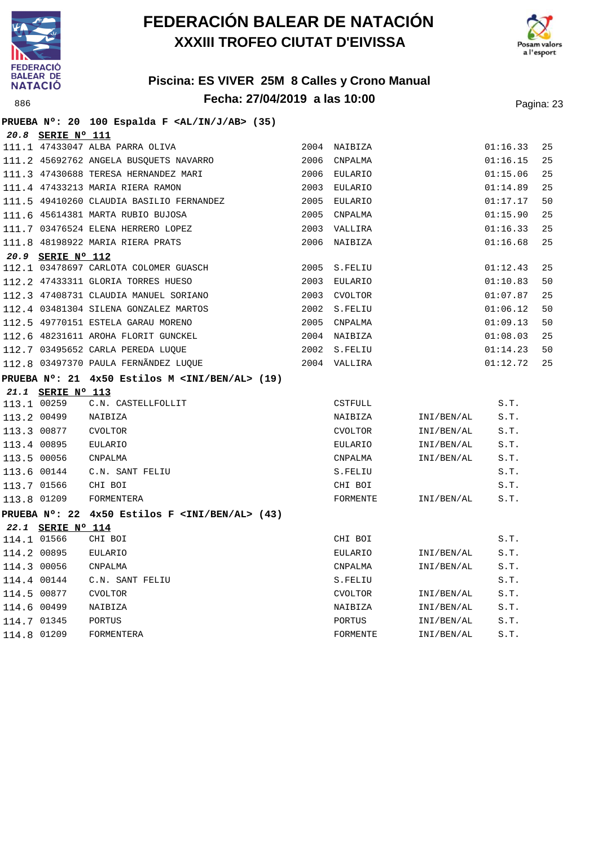



#### **Piscina: ES VIVER 25M 8 Calles y Crono Manual Fecha: 27/04/2019 a las 10:00** Pagina: 23

#### **PRUEBA Nº: 20 100 Espalda F <AL/IN/J/AB> (35) 20.8 SERIE Nº 111** 111.1 47433047 ALBA PARRA OLIVA 2004 NAIBIZA 01:16.33 25 111.2 45692762 ANGELA BUSQUETS NAVARRO 2006 CNPALMA 01:16.15 25 111.3 47430688 TERESA HERNANDEZ MARI 2006 EULARIO 01:15.06 25 111.4 47433213 MARIA RIERA RAMON 2003 EULARIO 01:14.89 25 111.5 49410260 CLAUDIA BASILIO FERNANDEZ 2005 EULARIO 01:17.17 50 111.6 45614381 MARTA RUBIO BUJOSA 2005 CNPALMA 01:15.90 25 111.7 03476524 ELENA HERRERO LOPEZ 2003 VALLIRA 01:16.33 25 111.8 48198922 MARIA RIERA PRATS 2006 NAIBIZA 01:16.68 25 **20.9 SERIE Nº 112** 112.1 03478697 CARLOTA COLOMER GUASCH 2005 S.FELIU 01:12.43 25 112.2 47433311 GLORIA TORRES HUESO 2003 EULARIO 01:10.83 50 112.3 47408731 CLAUDIA MANUEL SORIANO 2003 CVOLTOR 01:07.87 25 112.4 03481304 SILENA GONZALEZ MARTOS 2002 S.FELIU 01:06.12 50 112.5 49770151 ESTELA GARAU MORENO 2005 CNPALMA 01:09.13 50 112.6 48231611 AROHA FLORIT GUNCKEL 2004 NAIBIZA 01:08.03 25 112.7 03495652 CARLA PEREDA LUQUE 2002 S.FELIU 01:14.23 50 112.8 03497370 PAULA FERNÃNDEZ LUQUE 2004 VALLIRA 01:12.72 25 **PRUEBA Nº: 21 4x50 Estilos M <INI/BEN/AL> (19) 21.1 SERIE Nº 113** 113.1 00259 C.N. CASTELLFOLLIT CSTEUNICSTFULL CSTFULL S.T. 113.2 00499 NAIBIZA NAIBIZA INI/BEN/AL S.T. 113.3 00877 CVOLTOR CVOLTOR INI/BEN/AL S.T. 113.4 00895 EULARIO EULARIO INI/BEN/AL S.T. 113.5 00056 CNPALMA CNPALMA INI/BEN/AL S.T. 113.6 00144 C.N. SANT FELIU S.FELIU S.T. 113.7 01566 CHI BOI CHI BOI S.T. 113.8 01209 FORMENTERA FORMENTE INI/BEN/AL S.T. **PRUEBA Nº: 22 4x50 Estilos F <INI/BEN/AL> (43) 22.1 SERIE Nº 114** 114.1 01566 CHI BOI CHI BOI S.T. 114.2 00895 EULARIO EULARIO INI/BEN/AL S.T. 114.3 00056 CNPALMA CNPALMA INI/BEN/AL S.T. 114.4 00144 C.N. SANT FELIU S.FELIU S.T. 114.5 00877 CVOLTOR CVOLTOR INI/BEN/AL S.T. 114.6 00499 NAIBIZA NAIBIZA INI/BEN/AL S.T. 114.7 01345 PORTUS PORTUS INI/BEN/AL S.T. 114.8 01209 FORMENTERA FORMENTE INI/BEN/AL S.T.